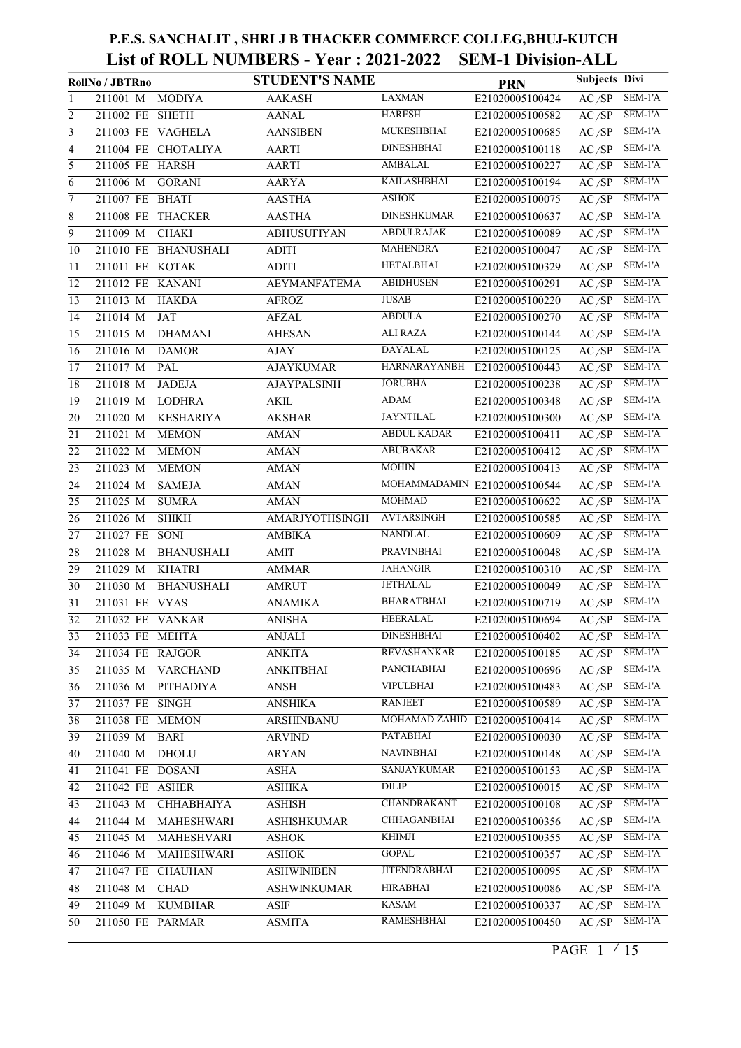|                 | RollNo / JBTRno   |                      | <b>STUDENT'S NAME</b> |                     | <b>PRN</b>                    | <b>Subjects Divi</b> |           |
|-----------------|-------------------|----------------------|-----------------------|---------------------|-------------------------------|----------------------|-----------|
| 1               | 211001 M          | <b>MODIYA</b>        | <b>AAKASH</b>         | <b>LAXMAN</b>       | E21020005100424               | AC/SP                | SEM-1'A   |
| 2               | 211002 FE SHETH   |                      | <b>AANAL</b>          | <b>HARESH</b>       | E21020005100582               | AC/SP                | SEM-1'A   |
| $\overline{3}$  | 211003 FE VAGHELA |                      | <b>AANSIBEN</b>       | <b>MUKESHBHAI</b>   | E21020005100685               | AC/SP                | SEM-1'A   |
| 4               |                   | 211004 FE CHOTALIYA  | <b>AARTI</b>          | <b>DINESHBHAI</b>   | E21020005100118               | AC/SP                | SEM-1'A   |
| $\overline{5}$  | 211005 FE HARSH   |                      | AARTI                 | <b>AMBALAL</b>      | E21020005100227               | AC/SP                | SEM-1'A   |
| 6               | 211006 M          | <b>GORANI</b>        | <b>AARYA</b>          | <b>KAILASHBHAI</b>  | E21020005100194               | $A\overline{C/SP}$   | SEM-1'A   |
| 7               | 211007 FE BHATI   |                      | <b>AASTHA</b>         | <b>ASHOK</b>        | E21020005100075               | AC/SP                | SEM-1'A   |
| 8               | 211008 FE THACKER |                      | <b>AASTHA</b>         | <b>DINESHKUMAR</b>  | E21020005100637               | $A\overline{C/SP}$   | $SEM-1'A$ |
| 9               | 211009 M          | <b>CHAKI</b>         | <b>ABHUSUFIYAN</b>    | <b>ABDULRAJAK</b>   | E21020005100089               | AC/SP                | $SEM-1'A$ |
| 10              |                   | 211010 FE BHANUSHALI | <b>ADITI</b>          | <b>MAHENDRA</b>     | E21020005100047               | AC/SP                | $SEM-1'A$ |
| 11              | 211011 FE KOTAK   |                      | <b>ADITI</b>          | <b>HETALBHAI</b>    | E21020005100329               | AC/SP                | SEM-1'A   |
| 12              | 211012 FE KANANI  |                      | <b>AEYMANFATEMA</b>   | <b>ABIDHUSEN</b>    | E21020005100291               | AC/SP                | SEM-1'A   |
| 13              | 211013 M          | <b>HAKDA</b>         | <b>AFROZ</b>          | <b>JUSAB</b>        | E21020005100220               | AC/SP                | SEM-1'A   |
| 14              | 211014 M          | <b>JAT</b>           | <b>AFZAL</b>          | <b>ABDULA</b>       | E21020005100270               | AC/SP                | $SEM-1'A$ |
| 15              | 211015 M          | <b>DHAMANI</b>       | <b>AHESAN</b>         | <b>ALI RAZA</b>     | E21020005100144               | AC/SP                | SEM-1'A   |
| 16              | 211016 M          | <b>DAMOR</b>         | AJAY                  | <b>DAYALAL</b>      | E21020005100125               | AC/SP                | $SEM-1'A$ |
| 17              | 211017 M          | PAL                  | <b>AJAYKUMAR</b>      | <b>HARNARAYANBH</b> | E21020005100443               | AC/SP                | SEM-1'A   |
| 18              | 211018 M          | <b>JADEJA</b>        | <b>AJAYPALSINH</b>    | <b>JORUBHA</b>      | E21020005100238               | AC/SP                | SEM-1'A   |
| 19              | 211019 M          | <b>LODHRA</b>        | <b>AKIL</b>           | <b>ADAM</b>         | E21020005100348               | AC/SP                | $SEM-1'A$ |
| 20              | 211020 M          | <b>KESHARIYA</b>     | <b>AKSHAR</b>         | <b>JAYNTILAL</b>    | E21020005100300               | $\overline{AC/SP}$   | SEM-1'A   |
| 21              | 211021 M          | <b>MEMON</b>         | <b>AMAN</b>           | <b>ABDUL KADAR</b>  | E21020005100411               | AC/SP                | SEM-1'A   |
| 22              | 211022 M          | <b>MEMON</b>         | <b>AMAN</b>           | <b>ABUBAKAR</b>     | E21020005100412               | AC/SP                | SEM-1'A   |
| 23              | 211023 M          | <b>MEMON</b>         | <b>AMAN</b>           | <b>MOHIN</b>        | E21020005100413               | AC/SP                | SEM-1'A   |
| 24              | 211024 M          | <b>SAMEJA</b>        | <b>AMAN</b>           |                     | MOHAMMADAMIN E21020005100544  | AC/SP                | SEM-1'A   |
| 25              | 211025 M          | <b>SUMRA</b>         | <b>AMAN</b>           | <b>MOHMAD</b>       | E21020005100622               | AC/SP                | SEM-1'A   |
| 26              | 211026 M          | <b>SHIKH</b>         | AMARJYOTHSINGH        | <b>AVTARSINGH</b>   | E21020005100585               | AC/SP                | SEM-1'A   |
| 27              | 211027 FE         | SONI                 | <b>AMBIKA</b>         | <b>NANDLAL</b>      | E21020005100609               | AC/SP                | SEM-1'A   |
| 28              | 211028 M          | <b>BHANUSHALI</b>    | <b>AMIT</b>           | <b>PRAVINBHAI</b>   | E21020005100048               | AC/SP                | SEM-1'A   |
| 29              | 211029 M          | <b>KHATRI</b>        | <b>AMMAR</b>          | <b>JAHANGIR</b>     | E21020005100310               | AC/SP                | SEM-1'A   |
| 30              | 211030 M          | <b>BHANUSHALI</b>    | <b>AMRUT</b>          | <b>JETHALAL</b>     | E21020005100049               | AC/SP                | SEM-1'A   |
| 31              | 211031 FE         | <b>VYAS</b>          | <b>ANAMIKA</b>        | <b>BHARATBHAI</b>   | E21020005100719               | AC/SP                | SEM-1'A   |
| $\overline{32}$ | 211032 FE VANKAR  |                      | <b>ANISHA</b>         | <b>HEERALAL</b>     | E21020005100694               | $\overline{AC/SP}$   | $SEM-1'A$ |
| 33              | 211033 FE MEHTA   |                      | ANJALI                | <b>DINESHBHAI</b>   | E21020005100402               | AC/SP                | SEM-1'A   |
| 34              | 211034 FE RAJGOR  |                      | <b>ANKITA</b>         | <b>REVASHANKAR</b>  | E21020005100185               | $\overline{AC/SP}$   | SEM-1'A   |
| 35              | 211035 M          | <b>VARCHAND</b>      | <b>ANKITBHAI</b>      | PANCHABHAI          | E21020005100696               | AC/SP                | SEM-1'A   |
| 36              | 211036 M          | PITHADIYA            | ANSH                  | <b>VIPULBHAI</b>    | E21020005100483               | AC/SP                | SEM-1'A   |
| 37              | 211037 FE SINGH   |                      | <b>ANSHIKA</b>        | <b>RANJEET</b>      | E21020005100589               | AC/SP                | SEM-1'A   |
| 38              | 211038 FE MEMON   |                      | ARSHINBANU            |                     | MOHAMAD ZAHID E21020005100414 | AC/SP                | SEM-1'A   |
| 39              | 211039 M          | <b>BARI</b>          | <b>ARVIND</b>         | PATABHAI            | E21020005100030               | AC/SP                | SEM-1'A   |
| 40              | 211040 M          | <b>DHOLU</b>         | <b>ARYAN</b>          | <b>NAVINBHAI</b>    | E21020005100148               | AC/SP                | SEM-1'A   |
| 41              | 211041 FE DOSANI  |                      | <b>ASHA</b>           | SANJAYKUMAR         | E21020005100153               | AC/SP                | SEM-1'A   |
| 42              | 211042 FE ASHER   |                      | <b>ASHIKA</b>         | <b>DILIP</b>        | E21020005100015               | AC/SP                | SEM-1'A   |
| 43              | 211043 M          | СННАВНАІҮА           | <b>ASHISH</b>         | <b>CHANDRAKANT</b>  | E21020005100108               | AC/SP                | SEM-1'A   |
| 44              | 211044 M          | MAHESHWARI           | <b>ASHISHKUMAR</b>    | <b>CHHAGANBHAI</b>  | E21020005100356               | AC/SP                | SEM-1'A   |
| 45              | 211045 M          | MAHESHVARI           | <b>ASHOK</b>          | <b>KHIMJI</b>       | E21020005100355               | AC/SP                | SEM-1'A   |
| 46              | 211046 M          | MAHESHWARI           | <b>ASHOK</b>          | <b>GOPAL</b>        | E21020005100357               | AC/SP                | SEM-1'A   |
| 47              | 211047 FE         | <b>CHAUHAN</b>       | <b>ASHWINIBEN</b>     | <b>JITENDRABHAI</b> | E21020005100095               | AC/SP                | SEM-1'A   |
| 48              | 211048 M          | <b>CHAD</b>          | <b>ASHWINKUMAR</b>    | <b>HIRABHAI</b>     | E21020005100086               | AC/SP                | SEM-1'A   |
| 49              | 211049 M          | <b>KUMBHAR</b>       | $\operatorname{ASIF}$ | <b>KASAM</b>        | E21020005100337               | AC/SP                | SEM-1'A   |
| 50              | 211050 FE PARMAR  |                      | <b>ASMITA</b>         | <b>RAMESHBHAI</b>   | E21020005100450               | AC/SP                | SEM-1'A   |
|                 |                   |                      |                       |                     |                               |                      |           |

PAGE 1 / 15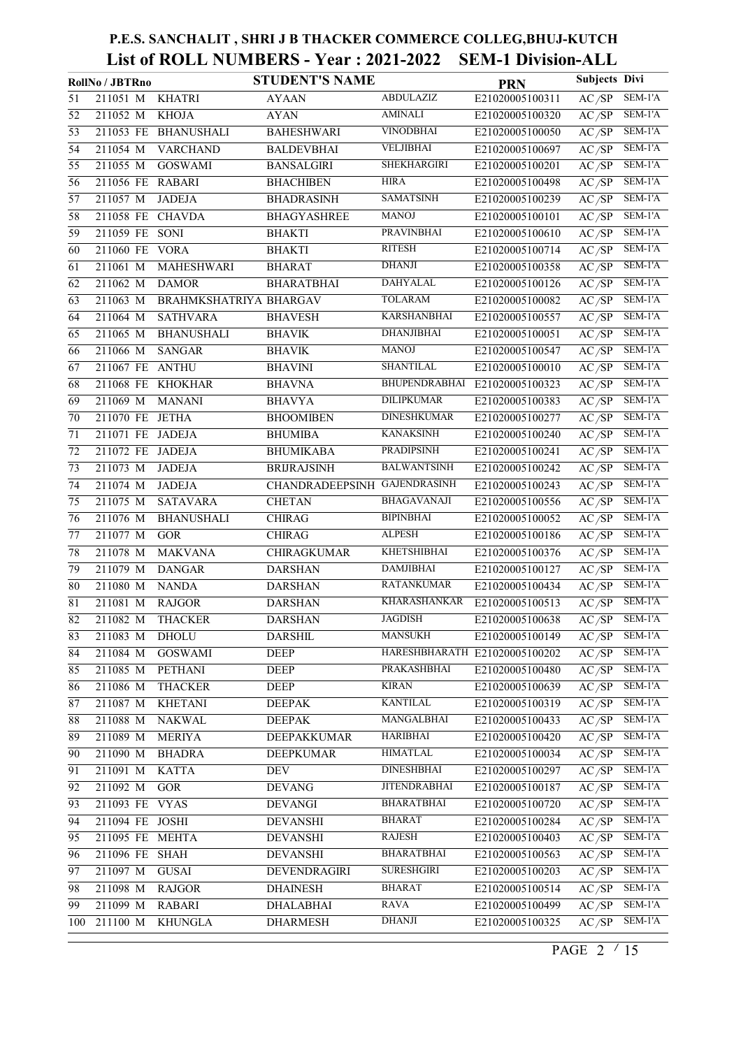|                 | RollNo / JBTRno  |                        | <b>STUDENT'S NAME</b>        |                               | <b>PRN</b>      | <b>Subjects Divi</b> |           |
|-----------------|------------------|------------------------|------------------------------|-------------------------------|-----------------|----------------------|-----------|
| 51              | 211051 M         | <b>KHATRI</b>          | <b>AYAAN</b>                 | ABDULAZIZ                     | E21020005100311 | AC/SP                | SEM-1'A   |
| 52              | 211052 M         | <b>KHOJA</b>           | <b>AYAN</b>                  | <b>AMINALI</b>                | E21020005100320 | AC/SP                | $SEM-1'A$ |
| $\overline{53}$ |                  | 211053 FE BHANUSHALI   | <b>BAHESHWARI</b>            | <b>VINODBHAI</b>              | E21020005100050 | AC/SP                | SEM-1'A   |
| 54              | 211054 M         | <b>VARCHAND</b>        | <b>BALDEVBHAI</b>            | <b>VELJIBHAI</b>              | E21020005100697 | AC/SP                | SEM-1'A   |
| 55              | 211055 M         | <b>GOSWAMI</b>         | <b>BANSALGIRI</b>            | <b>SHEKHARGIRI</b>            | E21020005100201 | AC/SP                | SEM-1'A   |
| 56              | 211056 FE        | <b>RABARI</b>          | <b>BHACHIBEN</b>             | <b>HIRA</b>                   | E21020005100498 | AC/SP                | SEM-1'A   |
| 57              | 211057 M         | <b>JADEJA</b>          | <b>BHADRASINH</b>            | <b>SAMATSINH</b>              | E21020005100239 | AC/SP                | SEM-1'A   |
| 58              | 211058 FE        | <b>CHAVDA</b>          | <b>BHAGYASHREE</b>           | <b>MANOJ</b>                  | E21020005100101 | AC/SP                | SEM-1'A   |
| 59              | 211059 FE SONI   |                        | <b>BHAKTI</b>                | <b>PRAVINBHAI</b>             | E21020005100610 | AC/SP                | SEM-1'A   |
| 60              | 211060 FE        | <b>VORA</b>            | <b>BHAKTI</b>                | <b>RITESH</b>                 | E21020005100714 | AC/SP                | SEM-1'A   |
| 61              | 211061 M         | MAHESHWARI             | <b>BHARAT</b>                | <b>DHANJI</b>                 | E21020005100358 | AC/SP                | SEM-1'A   |
| 62              | 211062 M         | <b>DAMOR</b>           | <b>BHARATBHAI</b>            | <b>DAHYALAL</b>               | E21020005100126 | AC/SP                | SEM-1'A   |
| 63              | 211063 M         | BRAHMKSHATRIYA BHARGAV |                              | <b>TOLARAM</b>                | E21020005100082 | AC/SP                | SEM-1'A   |
| 64              | 211064 M         | <b>SATHVARA</b>        | <b>BHAVESH</b>               | <b>KARSHANBHAI</b>            | E21020005100557 | AC/SP                | $SEM-1'A$ |
| 65              | 211065 M         | <b>BHANUSHALI</b>      | <b>BHAVIK</b>                | <b>DHANJIBHAI</b>             | E21020005100051 | AC/SP                | SEM-1'A   |
| 66              | 211066 M         | <b>SANGAR</b>          | <b>BHAVIK</b>                | <b>MANOJ</b>                  | E21020005100547 | AC/SP                | $SEM-1'A$ |
| 67              | 211067 FE        | <b>ANTHU</b>           | <b>BHAVINI</b>               | <b>SHANTILAL</b>              | E21020005100010 | $\overline{AC/SP}$   | SEM-1'A   |
| 68              |                  | 211068 FE KHOKHAR      | <b>BHAVNA</b>                | BHUPENDRABHAI                 | E21020005100323 | AC/SP                | SEM-1'A   |
| 69              | 211069 M         | <b>MANANI</b>          | <b>BHAVYA</b>                | <b>DILIPKUMAR</b>             | E21020005100383 | AC/SP                | SEM-1'A   |
| 70              | 211070 FE        | <b>JETHA</b>           | <b>BHOOMIBEN</b>             | <b>DINESHKUMAR</b>            | E21020005100277 | AC/SP                | SEM-1'A   |
| $\overline{71}$ | 211071 FE        | JADEJA                 | <b>BHUMIBA</b>               | <b>KANAKSINH</b>              | E21020005100240 | AC/SP                | SEM-1'A   |
| 72              | 211072 FE JADEJA |                        | <b>BHUMIKABA</b>             | <b>PRADIPSINH</b>             | E21020005100241 | AC/SP                | SEM-1'A   |
| $\overline{73}$ | 211073 M         | <b>JADEJA</b>          | <b>BRIJRAJSINH</b>           | <b>BALWANTSINH</b>            | E21020005100242 | AC/SP                | $SEM-1'A$ |
| $\overline{74}$ | 211074 M         | <b>JADEJA</b>          | CHANDRADEEPSINH GAJENDRASINH |                               | E21020005100243 | AC/SP                | SEM-1'A   |
| $\overline{75}$ | 211075 M         | <b>SATAVARA</b>        | <b>CHETAN</b>                | <b>BHAGAVANAJI</b>            | E21020005100556 | AC/SP                | $SEM-1'A$ |
| 76              | 211076 M         | <b>BHANUSHALI</b>      | <b>CHIRAG</b>                | <b>BIPINBHAI</b>              | E21020005100052 | AC/SP                | SEM-1'A   |
| $\overline{77}$ | 211077 M         | <b>GOR</b>             | <b>CHIRAG</b>                | <b>ALPESH</b>                 | E21020005100186 | AC/SP                | $SEM-1'A$ |
| 78              | 211078 M         | <b>MAKVANA</b>         | CHIRAGKUMAR                  | <b>KHETSHIBHAI</b>            | E21020005100376 | AC/SP                | SEM-1'A   |
| 79              | 211079 M         | <b>DANGAR</b>          | <b>DARSHAN</b>               | <b>DAMJIBHAI</b>              | E21020005100127 | AC/SP                | SEM-1'A   |
| 80              | 211080 M         | <b>NANDA</b>           | <b>DARSHAN</b>               | <b>RATANKUMAR</b>             | E21020005100434 | AC/SP                | SEM-1'A   |
| 81              | 211081 M         | <b>RAJGOR</b>          | <b>DARSHAN</b>               | <b>KHARASHANKAR</b>           | E21020005100513 | AC/SP                | SEM-1'A   |
| $\overline{82}$ | 211082 M         | <b>THACKER</b>         | <b>DARSHAN</b>               | <b>JAGDISH</b>                | E21020005100638 | AC/SP                | SEM-1'A   |
| 83              | 211083 M         | <b>DHOLU</b>           | <b>DARSHIL</b>               | <b>MANSUKH</b>                | E21020005100149 | $\overline{AC/SP}$   | SEM-1'A   |
| 84              | 211084 M         | <b>GOSWAMI</b>         | DEEP                         | HARESHBHARATH E21020005100202 |                 | AC/SP                | SEM-1'A   |
| 85              | 211085 M         | PETHANI                | <b>DEEP</b>                  | PRAKASHBHAI                   | E21020005100480 | $\overline{AC/SP}$   | SEM-1'A   |
| 86              | 211086 M         | <b>THACKER</b>         | DEEP                         | <b>KIRAN</b>                  | E21020005100639 | AC/SP                | SEM-1'A   |
| 87              | 211087 M         | <b>KHETANI</b>         | <b>DEEPAK</b>                | <b>KANTILAL</b>               | E21020005100319 | AC/SP                | SEM-1'A   |
| 88              | 211088 M         | <b>NAKWAL</b>          | <b>DEEPAK</b>                | MANGALBHAI                    | E21020005100433 | AC/SP                | SEM-1'A   |
| 89              | 211089 M         | <b>MERIYA</b>          | DEEPAKKUMAR                  | <b>HARIBHAI</b>               | E21020005100420 | AC/SP                | SEM-1'A   |
| 90              | 211090 M         | <b>BHADRA</b>          | <b>DEEPKUMAR</b>             | <b>HIMATLAL</b>               | E21020005100034 | AC/SP                | SEM-1'A   |
| 91              | 211091 M         | <b>KATTA</b>           | DEV                          | <b>DINESHBHAI</b>             | E21020005100297 | AC/SP                | SEM-1'A   |
| 92              | 211092 M         | $\rm GOR$              | <b>DEVANG</b>                | <b>JITENDRABHAI</b>           | E21020005100187 | AC/SP                | SEM-1'A   |
| 93              | 211093 FE        | <b>VYAS</b>            | <b>DEVANGI</b>               | <b>BHARATBHAI</b>             | E21020005100720 | AC/SP                | SEM-1'A   |
| 94              | 211094 FE        | <b>JOSHI</b>           | <b>DEVANSHI</b>              | <b>BHARAT</b>                 | E21020005100284 | AC/SP                | SEM-1'A   |
| 95              | 211095 FE MEHTA  |                        | <b>DEVANSHI</b>              | <b>RAJESH</b>                 | E21020005100403 | AC/SP                | SEM-1'A   |
| 96              | 211096 FE        | SHAH                   | <b>DEVANSHI</b>              | <b>BHARATBHAI</b>             | E21020005100563 | AC/SP                | SEM-1'A   |
| 97              | 211097 M         | <b>GUSAI</b>           | DEVENDRAGIRI                 | <b>SURESHGIRI</b>             | E21020005100203 | AC/SP                | SEM-1'A   |
| 98              | 211098 M         | <b>RAJGOR</b>          | <b>DHAINESH</b>              | <b>BHARAT</b>                 | E21020005100514 | AC/SP                | SEM-1'A   |
| 99              | 211099 M         | <b>RABARI</b>          | <b>DHALABHAI</b>             | <b>RAVA</b>                   | E21020005100499 | AC/SP                | SEM-1'A   |
| 100             | 211100 M         | <b>KHUNGLA</b>         | <b>DHARMESH</b>              | <b>DHANJI</b>                 | E21020005100325 | AC/SP                | SEM-1'A   |
|                 |                  |                        |                              |                               |                 |                      |           |

PAGE 2  $\frac{15}{15}$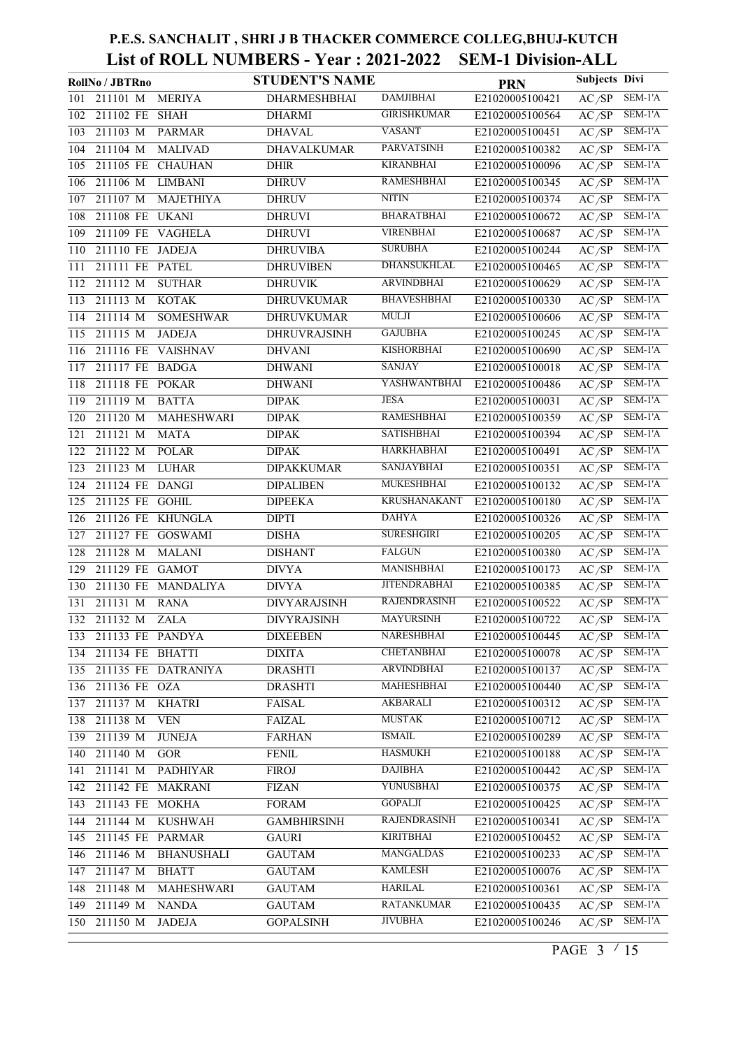|     | RollNo / JBTRno                        | <b>STUDENT'S NAME</b> |                     | <b>PRN</b>      | <b>Subjects Divi</b> |                             |
|-----|----------------------------------------|-----------------------|---------------------|-----------------|----------------------|-----------------------------|
| 101 | 211101 M<br><b>MERIYA</b>              | DHARMESHBHAI          | <b>DAMJIBHAI</b>    | E21020005100421 | AC/SP                | SEM-1'A                     |
| 102 | 211102 FE<br>$\overline{\text{SH}}$ AH | <b>DHARMI</b>         | <b>GIRISHKUMAR</b>  | E21020005100564 | AC/SP                | SEM-1'A                     |
| 103 | 211103 M<br><b>PARMAR</b>              | <b>DHAVAL</b>         | <b>VASANT</b>       | E21020005100451 | AC/SP                | SEM-1'A                     |
| 104 | 211104 M<br><b>MALIVAD</b>             | <b>DHAVALKUMAR</b>    | <b>PARVATSINH</b>   | E21020005100382 | AC/SP                | SEM-1'A                     |
| 105 | 211105 FE<br><b>CHAUHAN</b>            | <b>DHIR</b>           | <b>KIRANBHAI</b>    | E21020005100096 | AC/SP                | $SEM-1'A$                   |
| 106 | 211106 M<br><b>LIMBANI</b>             | <b>DHRUV</b>          | <b>RAMESHBHAI</b>   | E21020005100345 | AC/SP                | SEM-1'A                     |
| 107 | 211107 M<br><b>MAJETHIYA</b>           | <b>DHRUV</b>          | <b>NITIN</b>        | E21020005100374 | AC/SP                | SEM-1'A                     |
| 108 | 211108 FE<br><b>UKANI</b>              | <b>DHRUVI</b>         | <b>BHARATBHAI</b>   | E21020005100672 | AC/SP                | $SEM-1'A$                   |
| 109 | 211109 FE VAGHELA                      | <b>DHRUVI</b>         | <b>VIRENBHAI</b>    | E21020005100687 | AC/SP                | $\overline{\text{SEM-1'A}}$ |
| 110 | 211110 FE<br><b>JADEJA</b>             | <b>DHRUVIBA</b>       | <b>SURUBHA</b>      | E21020005100244 | AC/SP                | SEM-1'A                     |
| 111 | 211111 FE PATEL                        | <b>DHRUVIBEN</b>      | <b>DHANSUKHLAL</b>  | E21020005100465 | AC/SP                | SEM-1'A                     |
| 112 | 211112 M<br><b>SUTHAR</b>              | <b>DHRUVIK</b>        | <b>ARVINDBHAI</b>   | E21020005100629 | AC/SP                | SEM-1'A                     |
| 113 | 211113 M<br><b>KOTAK</b>               | <b>DHRUVKUMAR</b>     | <b>BHAVESHBHAI</b>  | E21020005100330 | AC/SP                | SEM-1'A                     |
| 114 | 211114 M<br><b>SOMESHWAR</b>           | <b>DHRUVKUMAR</b>     | MULJI               | E21020005100606 | AC/SP                | $SEM-1'A$                   |
| 115 | 211115 M<br><b>JADEJA</b>              | DHRUVRAJSINH          | <b>GAJUBHA</b>      | E21020005100245 | AC/SP                | SEM-1'A                     |
| 116 | 211116 FE<br>VAISHNAV                  | <b>DHVANI</b>         | KISHORBHAI          | E21020005100690 | AC/SP                | SEM-1'A                     |
| 117 | 211117 FE BADGA                        | <b>DHWANI</b>         | <b>SANJAY</b>       | E21020005100018 | AC/SP                | $SEM-1'A$                   |
| 118 | 211118 FE POKAR                        | <b>DHWANI</b>         | YASHWANTBHAI        | E21020005100486 | AC/SP                | SEM-1'A                     |
| 119 | 211119 M<br><b>BATTA</b>               | <b>DIPAK</b>          | <b>JESA</b>         | E21020005100031 | AC/SP                | $SEM-1'A$                   |
| 120 | 211120 M<br>MAHESHWARI                 | <b>DIPAK</b>          | <b>RAMESHBHAI</b>   | E21020005100359 | AC/SP                | SEM-1'A                     |
| 121 | 211121 M<br><b>MATA</b>                | <b>DIPAK</b>          | <b>SATISHBHAI</b>   | E21020005100394 | AC/SP                | SEM-1'A                     |
| 122 | 211122 M<br><b>POLAR</b>               | <b>DIPAK</b>          | <b>HARKHABHAI</b>   | E21020005100491 | AC/SP                | SEM-1'A                     |
| 123 | 211123 M<br><b>LUHAR</b>               | <b>DIPAKKUMAR</b>     | SANJAYBHAI          | E21020005100351 | AC/SP                | $SEM-1'A$                   |
| 124 | 211124 FE<br><b>DANGI</b>              | <b>DIPALIBEN</b>      | <b>MUKESHBHAI</b>   | E21020005100132 | AC/SP                | $SEM-1'A$                   |
| 125 | 211125 FE GOHIL                        | <b>DIPEEKA</b>        | <b>KRUSHANAKANT</b> | E21020005100180 | AC/SP                | $SEM-1'A$                   |
| 126 | 211126 FE KHUNGLA                      | <b>DIPTI</b>          | <b>DAHYA</b>        | E21020005100326 | AC/SP                | SEM-1'A                     |
| 127 | 211127 FE<br><b>GOSWAMI</b>            | <b>DISHA</b>          | <b>SURESHGIRI</b>   | E21020005100205 | AC/SP                | $SEM-1'A$                   |
| 128 | 211128 M<br><b>MALANI</b>              | <b>DISHANT</b>        | <b>FALGUN</b>       | E21020005100380 | AC/SP                | SEM-1'A                     |
| 129 | 211129 FE<br><b>GAMOT</b>              | <b>DIVYA</b>          | <b>MANISHBHAI</b>   | E21020005100173 | $\overline{AC/SP}$   | SEM-1'A                     |
| 130 | 211130 FE<br><b>MANDALIYA</b>          | <b>DIVYA</b>          | <b>JITENDRABHAI</b> | E21020005100385 | AC/SP                | SEM-1'A                     |
| 131 | 211131 M<br><b>RANA</b>                | <b>DIVYARAJSINH</b>   | <b>RAJENDRASINH</b> | E21020005100522 | $\overline{AC/SP}$   | $SEM-1'A$                   |
|     | 132 211132 M<br><b>ZALA</b>            | <b>DIVYRAJSINH</b>    | <b>MAYURSINH</b>    | E21020005100722 | AC/SP                | SEM-1'A                     |
|     | 133 211133 FE PANDYA                   | <b>DIXEEBEN</b>       | NARESHBHAI          | E21020005100445 | AC/SP                | SEM-1'A                     |
| 134 | 211134 FE BHATTI                       | <b>DIXITA</b>         | <b>CHETANBHAI</b>   | E21020005100078 | $\overline{AC/SP}$   | SEM-1'A                     |
| 135 | 211135 FE DATRANIYA                    | <b>DRASHTI</b>        | <b>ARVINDBHAI</b>   | E21020005100137 | AC/SP                | SEM-1'A                     |
| 136 | 211136 FE<br><b>OZA</b>                | <b>DRASHTI</b>        | MAHESHBHAI          | E21020005100440 | AC/SP                | SEM-1'A                     |
| 137 | 211137 M<br><b>KHATRI</b>              | <b>FAISAL</b>         | <b>AKBARALI</b>     | E21020005100312 | AC/SP                | SEM-1'A                     |
| 138 | 211138 M<br><b>VEN</b>                 | <b>FAIZAL</b>         | <b>MUSTAK</b>       | E21020005100712 | AC/SP                | SEM-1'A                     |
| 139 | 211139 M<br><b>JUNEJA</b>              | <b>FARHAN</b>         | <b>ISMAIL</b>       | E21020005100289 | AC/SP                | SEM-1'A                     |
| 140 | 211140 M<br>$GOR$                      | <b>FENIL</b>          | <b>HASMUKH</b>      | E21020005100188 | AC/SP                | SEM-1'A                     |
| 141 | 211141 M<br><b>PADHIYAR</b>            | <b>FIROJ</b>          | <b>DAJIBHA</b>      | E21020005100442 | AC/SP                | SEM-1'A                     |
| 142 | 211142 FE<br><b>MAKRANI</b>            | <b>FIZAN</b>          | YUNUSBHAI           | E21020005100375 | AC/SP                | SEM-1'A                     |
| 143 | <b>MOKHA</b><br>211143 FE              | FORM                  | <b>GOPALJI</b>      | E21020005100425 | AC/SP                | SEM-1'A                     |
| 144 | 211144 M<br><b>KUSHWAH</b>             | <b>GAMBHIRSINH</b>    | <b>RAJENDRASINH</b> | E21020005100341 | AC/SP                | SEM-1'A                     |
| 145 | 211145 FE PARMAR                       | <b>GAURI</b>          | <b>KIRITBHAI</b>    | E21020005100452 | AC/SP                | SEM-1'A                     |
| 146 | 211146 M<br><b>BHANUSHALI</b>          | <b>GAUTAM</b>         | <b>MANGALDAS</b>    | E21020005100233 | AC/SP                | SEM-1'A                     |
| 147 | 211147 M<br><b>BHATT</b>               | <b>GAUTAM</b>         | <b>KAMLESH</b>      | E21020005100076 | AC/SP                | SEM-1'A                     |
| 148 | 211148 M<br>MAHESHWARI                 | <b>GAUTAM</b>         | <b>HARILAL</b>      | E21020005100361 | AC/SP                | SEM-1'A                     |
| 149 | 211149 M<br><b>NANDA</b>               | <b>GAUTAM</b>         | <b>RATANKUMAR</b>   | E21020005100435 | AC/SP                | SEM-1'A                     |
|     | 150 211150 M<br><b>JADEJA</b>          | <b>GOPALSINH</b>      | <b>JIVUBHA</b>      | E21020005100246 | AC/SP                | SEM-1'A                     |

PAGE 3  $\frac{15}{15}$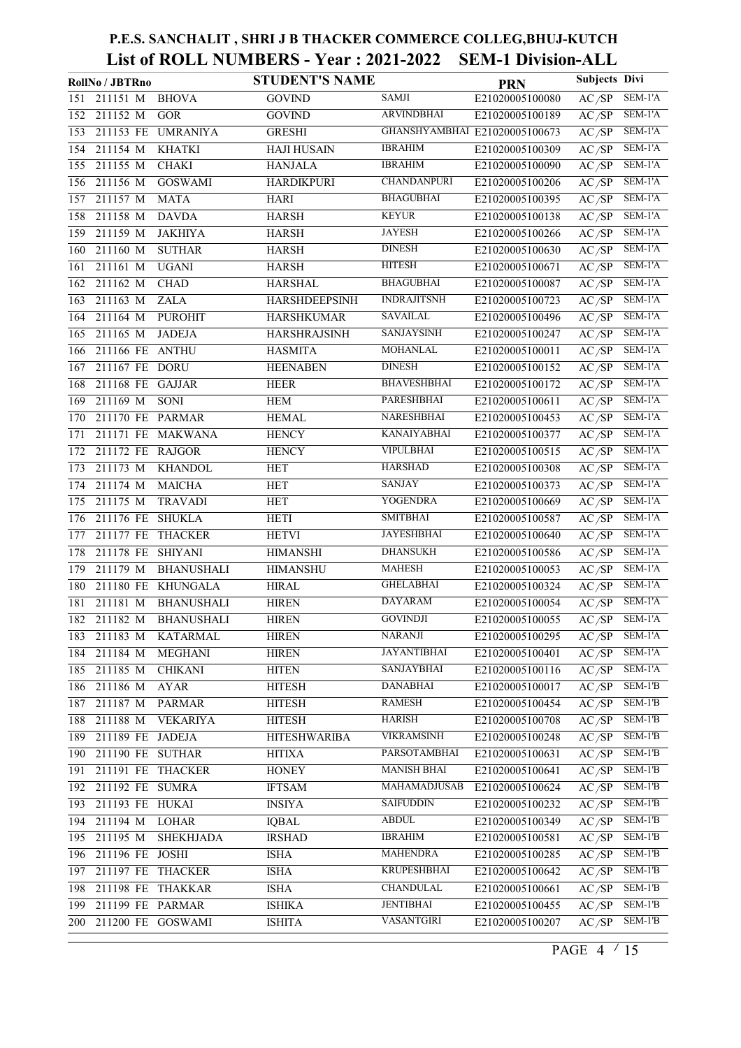|     | RollNo / JBTRno   |                   | <b>STUDENT'S NAME</b> |                               | <b>PRN</b>      | <b>Subjects Divi</b> |                             |
|-----|-------------------|-------------------|-----------------------|-------------------------------|-----------------|----------------------|-----------------------------|
| 151 | 211151 M          | <b>BHOVA</b>      | <b>GOVIND</b>         | <b>SAMJI</b>                  | E21020005100080 | AC/SP                | SEM-1'A                     |
| 152 | 211152 M          | <b>GOR</b>        | <b>GOVIND</b>         | <b>ARVINDBHAI</b>             | E21020005100189 | AC/SP                | SEM-1'A                     |
| 153 | 211153 FE         | <b>UMRANIYA</b>   | <b>GRESHI</b>         | GHANSHYAMBHAI E21020005100673 |                 | AC/SP                | SEM-1'A                     |
| 154 | 211154 M          | <b>KHATKI</b>     | <b>HAJI HUSAIN</b>    | <b>IBRAHIM</b>                | E21020005100309 | AC/SP                | SEM-1'A                     |
| 155 | 211155 M          | <b>CHAKI</b>      | <b>HANJALA</b>        | <b>IBRAHIM</b>                | E21020005100090 | AC/SP                | $SEM-1'A$                   |
| 156 | 211156 M          | <b>GOSWAMI</b>    | <b>HARDIKPURI</b>     | <b>CHANDANPURI</b>            | E21020005100206 | AC/SP                | SEM-1'A                     |
| 157 | 211157 M          | <b>MATA</b>       | HARI                  | <b>BHAGUBHAI</b>              | E21020005100395 | AC/SP                | SEM-1'A                     |
| 158 | 211158 M          | <b>DAVDA</b>      | <b>HARSH</b>          | <b>KEYUR</b>                  | E21020005100138 | AC/SP                | SEM-1'A                     |
| 159 | 211159 M          | <b>JAKHIYA</b>    | <b>HARSH</b>          | <b>JAYESH</b>                 | E21020005100266 | AC/SP                | $\overline{\text{SEM-1'A}}$ |
| 160 | 211160 M          | <b>SUTHAR</b>     | <b>HARSH</b>          | <b>DINESH</b>                 | E21020005100630 | AC/SP                | SEM-1'A                     |
| 161 | 211161 M          | <b>UGANI</b>      | <b>HARSH</b>          | <b>HITESH</b>                 | E21020005100671 | AC/SP                | SEM-1'A                     |
| 162 | 211162 M          | <b>CHAD</b>       | <b>HARSHAL</b>        | <b>BHAGUBHAI</b>              | E21020005100087 | AC/SP                | SEM-1'A                     |
| 163 | 211163 M          | <b>ZALA</b>       | <b>HARSHDEEPSINH</b>  | <b>INDRAJITSNH</b>            | E21020005100723 | AC/SP                | $SEM-1'A$                   |
| 164 | 211164 M          | <b>PUROHIT</b>    | <b>HARSHKUMAR</b>     | <b>SAVAILAL</b>               | E21020005100496 | $\overline{AC/SP}$   | SEM-1'A                     |
| 165 | 211165 M          | <b>JADEJA</b>     | <b>HARSHRAJSINH</b>   | <b>SANJAYSINH</b>             | E21020005100247 | AC/SP                | $SEM-1'A$                   |
| 166 | 211166 FE ANTHU   |                   | <b>HASMITA</b>        | <b>MOHANLAL</b>               | E21020005100011 | AC/SP                | $SEM-1'A$                   |
| 167 | 211167 FE DORU    |                   | <b>HEENABEN</b>       | <b>DINESH</b>                 | E21020005100152 | AC/SP                | $SEM-1'A$                   |
| 168 | 211168 FE GAJJAR  |                   | HEER                  | <b>BHAVESHBHAI</b>            | E21020005100172 | AC/SP                | $SEM-1'A$                   |
| 169 | 211169 M          | <b>SONI</b>       | HEM                   | <b>PARESHBHAI</b>             | E21020005100611 | AC/SP                | SEM-1'A                     |
| 170 | 211170 FE PARMAR  |                   | <b>HEMAL</b>          | <b>NARESHBHAI</b>             | E21020005100453 | AC/SP                | SEM-1'A                     |
| 171 |                   | 211171 FE MAKWANA | <b>HENCY</b>          | <b>KANAIYABHAI</b>            | E21020005100377 | AC/SP                | SEM-1'A                     |
| 172 | 211172 FE RAJGOR  |                   | <b>HENCY</b>          | <b>VIPULBHAI</b>              | E21020005100515 | $A\overline{C/SP}$   | SEM-1'A                     |
| 173 | 211173 M          | <b>KHANDOL</b>    | <b>HET</b>            | <b>HARSHAD</b>                | E21020005100308 | AC/SP                | SEM-1'A                     |
| 174 | 211174 M          | <b>MAICHA</b>     | <b>HET</b>            | <b>SANJAY</b>                 | E21020005100373 | AC/SP                | $SEM-1'A$                   |
| 175 | 211175 M          | <b>TRAVADI</b>    | <b>HET</b>            | <b>YOGENDRA</b>               | E21020005100669 | AC/SP                | $SEM-1'A$                   |
| 176 | 211176 FE SHUKLA  |                   | <b>HETI</b>           | <b>SMITBHAI</b>               | E21020005100587 | AC/SP                | SEM-1'A                     |
| 177 | 211177 FE         | <b>THACKER</b>    | <b>HETVI</b>          | <b>JAYESHBHAI</b>             | E21020005100640 | AC/SP                | SEM-1'A                     |
| 178 | 211178 FE         | <b>SHIYANI</b>    | <b>HIMANSHI</b>       | <b>DHANSUKH</b>               | E21020005100586 | AC/SP                | SEM-1'A                     |
| 179 | 211179 M          | <b>BHANUSHALI</b> | <b>HIMANSHU</b>       | <b>MAHESH</b>                 | E21020005100053 | AC/SP                | SEM-1'A                     |
| 180 | 211180 FE         | <b>KHUNGALA</b>   | <b>HIRAL</b>          | <b>GHELABHAI</b>              | E21020005100324 | AC/SP                | SEM-1'A                     |
| 181 | 211181 M          | <b>BHANUSHALI</b> | <b>HIREN</b>          | <b>DAYARAM</b>                | E21020005100054 | $\overline{AC/SP}$   | SEM-1'A                     |
|     | 182 211182 M      | <b>BHANUSHALI</b> | <b>HIREN</b>          | <b>GOVINDJI</b>               | E21020005100055 | $\overline{AC/SP}$   | SEM-1'A                     |
|     | 183 211183 M      | KATARMAL          | <b>HIREN</b>          | <b>NARANJI</b>                | E21020005100295 | AC/SP                | SEM-1'A                     |
| 184 | 211184 M          | <b>MEGHANI</b>    | <b>HIREN</b>          | <b>JAYANTIBHAI</b>            | E21020005100401 | $\overline{AC/SP}$   | SEM-1'A                     |
| 185 | 211185 M          | <b>CHIKANI</b>    | <b>HITEN</b>          | <b>SANJAYBHAI</b>             | E21020005100116 | AC/SP                | SEM-1'A                     |
| 186 | 211186 M          | <b>AYAR</b>       | <b>HITESH</b>         | <b>DANABHAI</b>               | E21020005100017 | AC/SP                | SEM-1'B                     |
| 187 | 211187 M          | PARMAR            | <b>HITESH</b>         | <b>RAMESH</b>                 | E21020005100454 | $\overline{AC/SP}$   | SEM-1'B                     |
| 188 | 211188 M          | <b>VEKARIYA</b>   | <b>HITESH</b>         | HARISH                        | E21020005100708 | AC/SP                | SEM-1'B                     |
| 189 | 211189 FE JADEJA  |                   | <b>HITESHWARIBA</b>   | <b>VIKRAMSINH</b>             | E21020005100248 | AC/SP                | SEM-1'B                     |
| 190 | 211190 FE SUTHAR  |                   | <b>HITIXA</b>         | <b>PARSOTAMBHAI</b>           | E21020005100631 | AC/SP                | SEM-1'B                     |
| 191 | 211191 FE THACKER |                   | <b>HONEY</b>          | <b>MANISH BHAI</b>            | E21020005100641 | AC/SP                | SEM-1'B                     |
| 192 | 211192 FE SUMRA   |                   | <b>IFTSAM</b>         | MAHAMADJUSAB                  | E21020005100624 | AC/SP                | SEM-1'B                     |
| 193 | 211193 FE HUKAI   |                   | <b>INSIYA</b>         | <b>SAIFUDDIN</b>              | E21020005100232 | AC/SP                | SEM-1'B                     |
| 194 | 211194 M          | LOHAR             | <b>IQBAL</b>          | <b>ABDUL</b>                  | E21020005100349 | AC/SP                | SEM-1'B                     |
| 195 | 211195 M          | <b>SHEKHJADA</b>  | <b>IRSHAD</b>         | <b>IBRAHIM</b>                | E21020005100581 | AC/SP                | SEM-1'B                     |
| 196 | 211196 FE JOSHI   |                   | <b>ISHA</b>           | <b>MAHENDRA</b>               | E21020005100285 | AC/SP                | SEM-1'B                     |
| 197 | 211197 FE THACKER |                   | <b>ISHA</b>           | <b>KRUPESHBHAI</b>            | E21020005100642 | AC/SP                | SEM-1'B                     |
| 198 | 211198 FE THAKKAR |                   | <b>ISHA</b>           | <b>CHANDULAL</b>              | E21020005100661 | AC/SP                | SEM-1'B                     |
| 199 | 211199 FE PARMAR  |                   | <b>ISHIKA</b>         | <b>JENTIBHAI</b>              | E21020005100455 | AC/SP                | SEM-1'B                     |
| 200 |                   | 211200 FE GOSWAMI | <b>ISHITA</b>         | <b>VASANTGIRI</b>             | E21020005100207 | AC/SP                | SEM-1'B                     |

PAGE 4  $\frac{15}{15}$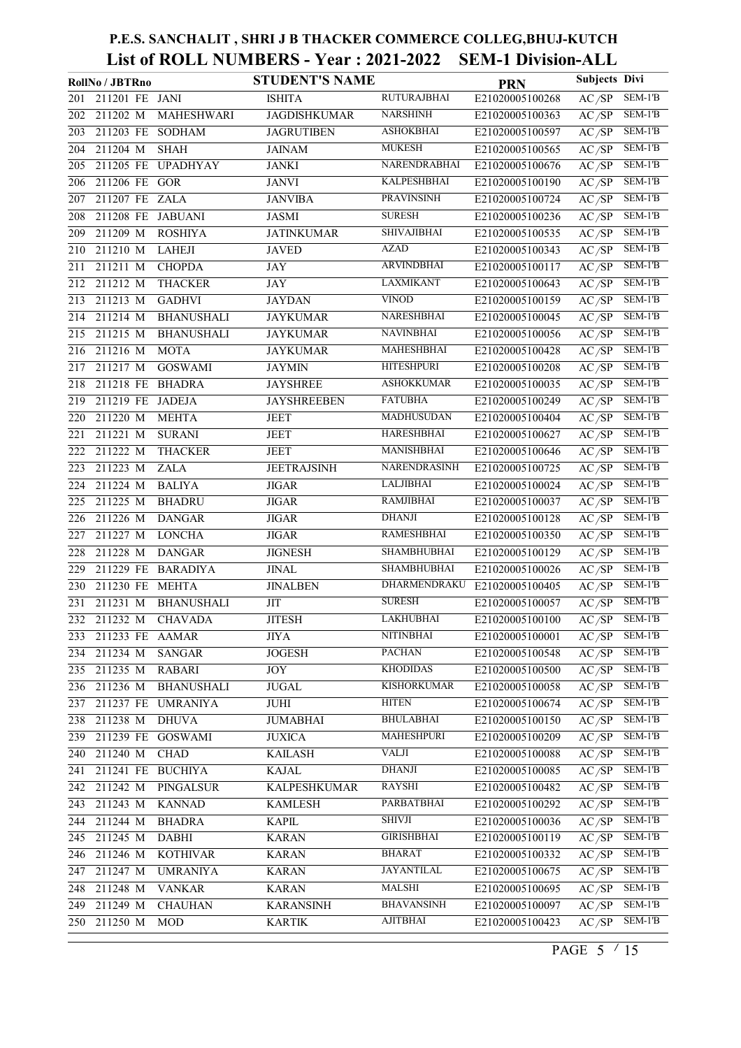|     | RollNo / JBTRno                | <b>STUDENT'S NAME</b> |                     | <b>PRN</b>      | Subjects Divi      |           |
|-----|--------------------------------|-----------------------|---------------------|-----------------|--------------------|-----------|
| 201 | 211201 FE JANI                 | <b>ISHITA</b>         | <b>RUTURAJBHAI</b>  | E21020005100268 | AC/SP              | SEM-1'B   |
| 202 | 211202 M<br>MAHESHWARI         | <b>JAGDISHKUMAR</b>   | <b>NARSHINH</b>     | E21020005100363 | AC/SP              | SEM-1'B   |
| 203 | 211203 FE SODHAM               | <b>JAGRUTIBEN</b>     | <b>ASHOKBHAI</b>    | E21020005100597 | AC/SP              | $SEM-1'B$ |
| 204 | 211204 M<br><b>SHAH</b>        | <b>JAINAM</b>         | <b>MUKESH</b>       | E21020005100565 | AC/SP              | $SEM-1'B$ |
| 205 | 211205 FE<br><b>UPADHYAY</b>   | <b>JANKI</b>          | NARENDRABHAI        | E21020005100676 | $\overline{AC/SP}$ | $SEM-1'B$ |
| 206 | 211206 FE GOR                  | <b>JANVI</b>          | <b>KALPESHBHAI</b>  | E21020005100190 | AC/SP              | SEM-1'B   |
| 207 | 211207 FE ZALA                 | <b>JANVIBA</b>        | <b>PRAVINSINH</b>   | E21020005100724 | AC/SP              | $SEM-1'B$ |
| 208 | 211208 FE JABUANI              | <b>JASMI</b>          | <b>SURESH</b>       | E21020005100236 | AC/SP              | $SEM-1'B$ |
| 209 | 211209 M<br><b>ROSHIYA</b>     | <b>JATINKUMAR</b>     | <b>SHIVAJIBHAI</b>  | E21020005100535 | AC/SP              | $SEM-1'B$ |
| 210 | 211210 M<br><b>LAHEJI</b>      | <b>JAVED</b>          | AZAD                | E21020005100343 | AC/SP              | SEM-1'B   |
| 211 | 211211 M<br><b>CHOPDA</b>      | JAY                   | <b>ARVINDBHAI</b>   | E21020005100117 | AC/SP              | $SEM-1'B$ |
| 212 | 211212 M<br><b>THACKER</b>     | <b>JAY</b>            | <b>LAXMIKANT</b>    | E21020005100643 | AC/SP              | SEM-1'B   |
| 213 | 211213 M<br><b>GADHVI</b>      | <b>JAYDAN</b>         | <b>VINOD</b>        | E21020005100159 | $\overline{AC/SP}$ | $SEM-1'B$ |
| 214 | 211214 M<br><b>BHANUSHALI</b>  | <b>JAYKUMAR</b>       | NARESHBHAI          | E21020005100045 | AC/SP              | $SEM-1'B$ |
| 215 | 211215 M<br><b>BHANUSHALI</b>  | <b>JAYKUMAR</b>       | <b>NAVINBHAI</b>    | E21020005100056 | AC/SP              | $SEM-1'B$ |
| 216 | 211216 M<br><b>MOTA</b>        | <b>JAYKUMAR</b>       | <b>MAHESHBHAI</b>   | E21020005100428 | AC/SP              | $SEM-1'B$ |
| 217 | $211217$ M<br><b>GOSWAMI</b>   | <b>JAYMIN</b>         | <b>HITESHPURI</b>   | E21020005100208 | AC/SP              | $SEM-1'B$ |
| 218 | 211218 FE<br><b>BHADRA</b>     | <b>JAYSHREE</b>       | <b>ASHOKKUMAR</b>   | E21020005100035 | AC/SP              | SEM-1'B   |
| 219 | 211219 FE<br>JADEJA            | <b>JAYSHREEBEN</b>    | <b>FATUBHA</b>      | E21020005100249 | AC/SP              | $SEM-1'B$ |
| 220 | 211220 M<br><b>MEHTA</b>       | <b>JEET</b>           | <b>MADHUSUDAN</b>   | E21020005100404 | AC/SP              | SEM-1'B   |
| 221 | 211221 M<br><b>SURANI</b>      | JEET                  | <b>HARESHBHAI</b>   | E21020005100627 | $\overline{AC/SP}$ | $SEM-1'B$ |
| 222 | 211222 M<br><b>THACKER</b>     | <b>JEET</b>           | MANISHBHAI          | E21020005100646 | $\overline{AC/SP}$ | $SEM-1'B$ |
| 223 | 211223 M<br><b>ZALA</b>        | <b>JEETRAJSINH</b>    | NARENDRASINH        | E21020005100725 | AC/SP              | $SEM-1'B$ |
| 224 | <b>BALIYA</b><br>211224 M      | <b>JIGAR</b>          | <b>LALJIBHAI</b>    | E21020005100024 | AC/SP              | $SEM-1'B$ |
| 225 | 211225 M<br><b>BHADRU</b>      | <b>JIGAR</b>          | <b>RAMJIBHAI</b>    | E21020005100037 | AC/SP              | $SEM-1'B$ |
| 226 | 211226 M<br><b>DANGAR</b>      | <b>JIGAR</b>          | <b>DHANJI</b>       | E21020005100128 | AC/SP              | SEM-1'B   |
| 227 | 211227 M<br><b>LONCHA</b>      | <b>JIGAR</b>          | <b>RAMESHBHAI</b>   | E21020005100350 | AC/SP              | SEM-1'B   |
| 228 | 211228 M<br><b>DANGAR</b>      | <b>JIGNESH</b>        | <b>SHAMBHUBHAI</b>  | E21020005100129 | $\overline{AC/SP}$ | SEM-1'B   |
| 229 | 211229 FE BARADIYA             | <b>JINAL</b>          | <b>SHAMBHUBHAI</b>  | E21020005100026 | AC/SP              | $SEM-1'B$ |
| 230 | 211230 FE MEHTA                | <b>JINALBEN</b>       | <b>DHARMENDRAKU</b> | E21020005100405 | $\overline{AC/SP}$ | $SEM-1'B$ |
| 231 | 211231 M<br><b>BHANUSHALI</b>  | $\rm JIT$             | <b>SURESH</b>       | E21020005100057 | AC/SP              | $SEM-1'B$ |
|     | 232 211232 M<br><b>CHAVADA</b> | <b>JITESH</b>         | <b>LAKHUBHAI</b>    | E21020005100100 | $\overline{AC/SP}$ | $SEM-1'B$ |
|     | 233 211233 FE AAMAR            | JIYA                  | NITINBHAI           | E21020005100001 | AC/SP              | $SEM-1'B$ |
| 234 | 211234 M<br><b>SANGAR</b>      | <b>JOGESH</b>         | <b>PACHAN</b>       | E21020005100548 | AC/SP              | $SEM-1'B$ |
| 235 | 211235 M<br><b>RABARI</b>      | JOY                   | <b>KHODIDAS</b>     | E21020005100500 | AC/SP              | $SEM-1'B$ |
| 236 | 211236 M<br><b>BHANUSHALI</b>  | <b>JUGAL</b>          | <b>KISHORKUMAR</b>  | E21020005100058 | AC/SP              | $SEM-1'B$ |
| 237 | 211237 FE UMRANIYA             | JUHI                  | <b>HITEN</b>        | E21020005100674 | AC/SP              | $SEM-1'B$ |
| 238 | 211238 M<br><b>DHUVA</b>       | <b>JUMABHAI</b>       | <b>BHULABHAI</b>    | E21020005100150 | AC/SP              | $SEM-1'B$ |
| 239 | 211239 FE GOSWAMI              | <b>JUXICA</b>         | <b>MAHESHPURI</b>   | E21020005100209 | AC/SP              | SEM-1'B   |
| 240 | 211240 M<br><b>CHAD</b>        | <b>KAILASH</b>        | <b>VALJI</b>        | E21020005100088 | AC/SP              | SEM-1'B   |
| 241 | 211241 FE BUCHIYA              | <b>KAJAL</b>          | <b>DHANJI</b>       | E21020005100085 | AC/SP              | SEM-1'B   |
| 242 | 211242 M<br>PINGALSUR          | <b>KALPESHKUMAR</b>   | <b>RAYSHI</b>       | E21020005100482 | AC/SP              | SEM-1'B   |
| 243 | $211243$ M<br><b>KANNAD</b>    | <b>KAMLESH</b>        | <b>PARBATBHAI</b>   | E21020005100292 | AC/SP              | SEM-1'B   |
| 244 | 211244 M<br><b>BHADRA</b>      | <b>KAPIL</b>          | <b>SHIVJI</b>       | E21020005100036 | AC/SP              | SEM-1'B   |
| 245 | 211245 M<br>DABHI              | <b>KARAN</b>          | <b>GIRISHBHAI</b>   | E21020005100119 | AC/SP              | SEM-1'B   |
| 246 | 211246 M<br><b>KOTHIVAR</b>    | <b>KARAN</b>          | <b>BHARAT</b>       | E21020005100332 | AC/SP              | SEM-1'B   |
| 247 | 211247 M<br><b>UMRANIYA</b>    | <b>KARAN</b>          | <b>JAYANTILAL</b>   | E21020005100675 | AC/SP              | SEM-1'B   |
| 248 | 211248 M<br><b>VANKAR</b>      | <b>KARAN</b>          | <b>MALSHI</b>       | E21020005100695 | AC/SP              | SEM-1'B   |
| 249 | 211249 M<br><b>CHAUHAN</b>     | <b>KARANSINH</b>      | <b>BHAVANSINH</b>   | E21020005100097 | AC/SP              | SEM-1'B   |
|     | 250 211250 M<br>MOD            | <b>KARTIK</b>         | AJITBHAI            | E21020005100423 | AC/SP              | SEM-1'B   |
|     |                                |                       |                     |                 |                    |           |

PAGE 5  $\frac{15}{15}$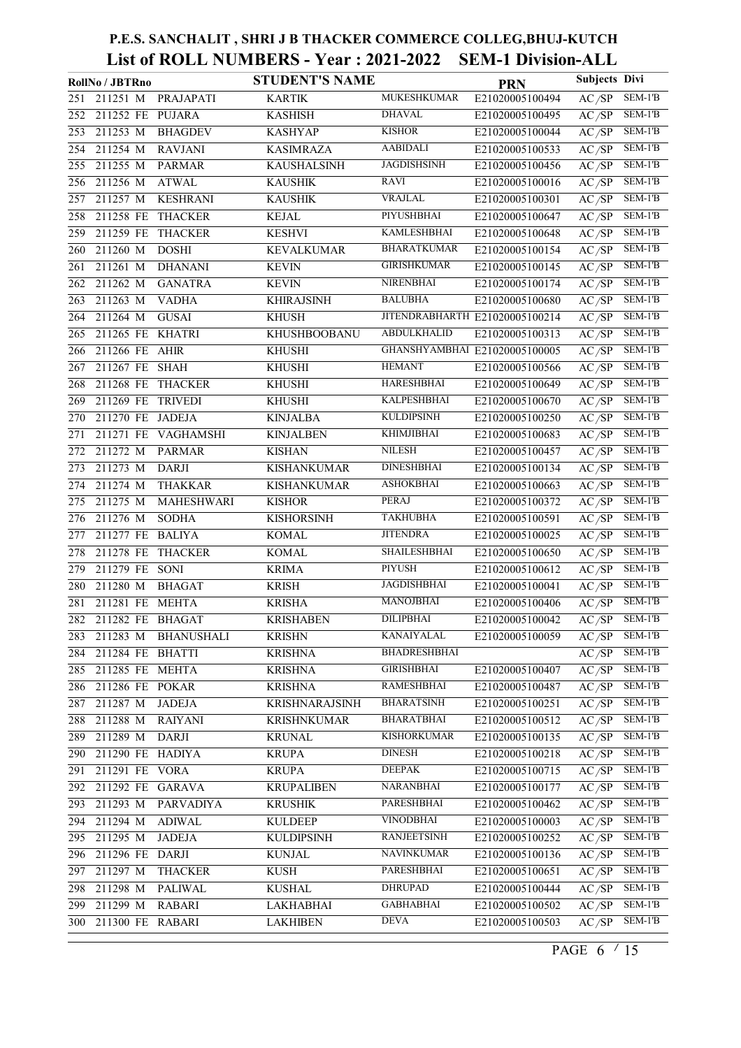|     | RollNo / JBTRno      |                     | <b>STUDENT'S NAME</b> |                     | <b>PRN</b>                     | <b>Subjects Divi</b> |           |
|-----|----------------------|---------------------|-----------------------|---------------------|--------------------------------|----------------------|-----------|
| 251 | 211251 M             | PRAJAPATI           | <b>KARTIK</b>         | <b>MUKESHKUMAR</b>  | E21020005100494                | AC/SP                | SEM-1'B   |
| 252 | 211252 FE PUJARA     |                     | <b>KASHISH</b>        | <b>DHAVAL</b>       | E21020005100495                | AC/SP                | $SEM-1'B$ |
| 253 | 211253 M             | <b>BHAGDEV</b>      | <b>KASHYAP</b>        | <b>KISHOR</b>       | E21020005100044                | AC/SP                | SEM-1'B   |
| 254 | 211254 M             | <b>RAVJANI</b>      | <b>KASIMRAZA</b>      | <b>AABIDALI</b>     | E21020005100533                | AC/SP                | $SEM-1'B$ |
| 255 | 211255 M             | <b>PARMAR</b>       | <b>KAUSHALSINH</b>    | <b>JAGDISHSINH</b>  | E21020005100456                | AC/SP                | SEM-1'B   |
| 256 | 211256 M             | <b>ATWAL</b>        | <b>KAUSHIK</b>        | <b>RAVI</b>         | E21020005100016                | AC/SP                | SEM-1'B   |
| 257 | 211257 M             | <b>KESHRANI</b>     | <b>KAUSHIK</b>        | <b>VRAJLAL</b>      | E21020005100301                | AC/SP                | $SEM-1'B$ |
| 258 | 211258 FE            | <b>THACKER</b>      | <b>KEJAL</b>          | PIYUSHBHAI          | E21020005100647                | AC/SP                | $SEM-1'B$ |
| 259 | 211259 FE THACKER    |                     | <b>KESHVI</b>         | <b>KAMLESHBHAI</b>  | E21020005100648                | AC/SP                | $SEM-1'B$ |
| 260 | 211260 M             | <b>DOSHI</b>        | <b>KEVALKUMAR</b>     | <b>BHARATKUMAR</b>  | E21020005100154                | AC/SP                | SEM-1'B   |
| 261 | 211261 M             | <b>DHANANI</b>      | <b>KEVIN</b>          | <b>GIRISHKUMAR</b>  | E21020005100145                | AC/SP                | SEM-1'B   |
| 262 | $211262$ M           | <b>GANATRA</b>      | <b>KEVIN</b>          | <b>NIRENBHAI</b>    | E21020005100174                | AC/SP                | $SEM-1'B$ |
| 263 | 211263 M             | <b>VADHA</b>        | <b>KHIRAJSINH</b>     | <b>BALUBHA</b>      | E21020005100680                | $A\overline{C/SP}$   | SEM-1'B   |
| 264 | 211264 M             | <b>GUSAI</b>        | <b>KHUSH</b>          |                     | JITENDRABHARTH E21020005100214 | AC/SP                | $SEM-1'B$ |
| 265 | 211265 FE KHATRI     |                     | <b>KHUSHBOOBANU</b>   | <b>ABDULKHALID</b>  | E21020005100313                | AC/SP                | SEM-1'B   |
| 266 | 211266 FE AHIR       |                     | <b>KHUSHI</b>         |                     | GHANSHYAMBHAI E21020005100005  | AC/SP                | $SEM-1'B$ |
| 267 | 211267 FE SHAH       |                     | <b>KHUSHI</b>         | <b>HEMANT</b>       | E21020005100566                | $A\overline{C/SP}$   | $SEM-1'B$ |
| 268 | 211268 FE THACKER    |                     | <b>KHUSHI</b>         | <b>HARESHBHAI</b>   | E21020005100649                | AC/SP                | $SEM-1'B$ |
| 269 | 211269 FE TRIVEDI    |                     | <b>KHUSHI</b>         | <b>KALPESHBHAI</b>  | E21020005100670                | AC/SP                | SEM-1'B   |
| 270 | 211270 FE JADEJA     |                     | <b>KINJALBA</b>       | <b>KULDIPSINH</b>   | E21020005100250                | AC/SP                | $SEM-1'B$ |
| 271 |                      | 211271 FE VAGHAMSHI | <b>KINJALBEN</b>      | <b>KHIMJIBHAI</b>   | E21020005100683                | $A\overline{C/SP}$   | SEM-1'B   |
| 272 | 211272 M             | <b>PARMAR</b>       | <b>KISHAN</b>         | <b>NILESH</b>       | E21020005100457                | AC/SP                | SEM-1'B   |
| 273 | 211273 M             | <b>DARJI</b>        | <b>KISHANKUMAR</b>    | <b>DINESHBHAI</b>   | E21020005100134                | AC/SP                | $SEM-1'B$ |
| 274 | 211274 M             | <b>THAKKAR</b>      | <b>KISHANKUMAR</b>    | <b>ASHOKBHAI</b>    | E21020005100663                | AC/SP                | SEM-1'B   |
| 275 | $211275$ M           | MAHESHWARI          | <b>KISHOR</b>         | <b>PERAJ</b>        | E21020005100372                | AC/SP                | $SEM-1'B$ |
| 276 | 211276 M             | <b>SODHA</b>        | <b>KISHORSINH</b>     | <b>TAKHUBHA</b>     | E21020005100591                | AC/SP                | $SEM-1'B$ |
| 277 | 211277 FE BALIYA     |                     | <b>KOMAL</b>          | <b>JITENDRA</b>     | E21020005100025                | AC/SP                | $SEM-1'B$ |
| 278 | 211278 FE            | <b>THACKER</b>      | <b>KOMAL</b>          | <b>SHAILESHBHAI</b> | E21020005100650                | AC/SP                | $SEM-1'B$ |
| 279 | 211279 FE SONI       |                     | <b>KRIMA</b>          | <b>PIYUSH</b>       | E21020005100612                | AC/SP                | $SEM-1'B$ |
| 280 | 211280 M             | <b>BHAGAT</b>       | <b>KRISH</b>          | <b>JAGDISHBHAI</b>  | E21020005100041                | AC/SP                | SEM-1'B   |
| 281 | 211281 FE MEHTA      |                     | <b>KRISHA</b>         | <b>MANOJBHAI</b>    | E21020005100406                | AC/SP                | $SEM-1'B$ |
|     | 282 211282 FE BHAGAT |                     | <b>KRISHABEN</b>      | <b>DILIPBHAI</b>    | E21020005100042                | AC/SP                | $SEM-1'B$ |
| 283 |                      | 211283 M BHANUSHALI | <b>KRISHN</b>         | KANAIYALAL          | E21020005100059                | AC/SP                | SEM-1'B   |
| 284 | 211284 FE BHATTI     |                     | <b>KRISHNA</b>        | <b>BHADRESHBHAI</b> |                                | AC/SP                | SEM-1'B   |
| 285 | 211285 FE MEHTA      |                     | <b>KRISHNA</b>        | <b>GIRISHBHAI</b>   | E21020005100407                | AC/SP                | SEM-1'B   |
| 286 | 211286 FE POKAR      |                     | <b>KRISHNA</b>        | <b>RAMESHBHAI</b>   | E21020005100487                | AC/SP                | SEM-1'B   |
| 287 | 211287 M             | <b>JADEJA</b>       | <b>KRISHNARAJSINH</b> | <b>BHARATSINH</b>   | E21020005100251                | AC/SP                | SEM-1'B   |
| 288 | 211288 M             | <b>RAIYANI</b>      | <b>KRISHNKUMAR</b>    | <b>BHARATBHAI</b>   | E21020005100512                | AC/SP                | SEM-1'B   |
| 289 | 211289 M             | <b>DARJI</b>        | <b>KRUNAL</b>         | <b>KISHORKUMAR</b>  | E21020005100135                | AC/SP                | SEM-1'B   |
| 290 | 211290 FE HADIYA     |                     | <b>KRUPA</b>          | <b>DINESH</b>       | E21020005100218                | AC/SP                | SEM-1'B   |
| 291 | 211291 FE VORA       |                     | <b>KRUPA</b>          | <b>DEEPAK</b>       | E21020005100715                | AC/SP                | SEM-1'B   |
| 292 | 211292 FE GARAVA     |                     | <b>KRUPALIBEN</b>     | <b>NARANBHAI</b>    | E21020005100177                | AC/SP                | $SEM-1'B$ |
| 293 | 211293 M             | <b>PARVADIYA</b>    | <b>KRUSHIK</b>        | <b>PARESHBHAI</b>   | E21020005100462                | AC/SP                | SEM-1'B   |
| 294 | 211294 M             | <b>ADIWAL</b>       | <b>KULDEEP</b>        | <b>VINODBHAI</b>    | E21020005100003                | AC/SP                | SEM-1'B   |
| 295 | 211295 M             | JADEJA              | <b>KULDIPSINH</b>     | <b>RANJEETSINH</b>  | E21020005100252                | AC/SP                | SEM-1'B   |
| 296 | 211296 FE DARJI      |                     | <b>KUNJAL</b>         | <b>NAVINKUMAR</b>   | E21020005100136                | AC/SP                | SEM-1'B   |
| 297 | 211297 M             | <b>THACKER</b>      | <b>KUSH</b>           | <b>PARESHBHAI</b>   | E21020005100651                | AC/SP                | SEM-1'B   |
| 298 | 211298 M             | <b>PALIWAL</b>      | <b>KUSHAL</b>         | <b>DHRUPAD</b>      | E21020005100444                | AC/SP                | SEM-1'B   |
| 299 | 211299 M             | <b>RABARI</b>       | LAKHABHAI             | <b>GABHABHAI</b>    | E21020005100502                | AC/SP                | SEM-1'B   |
| 300 | 211300 FE RABARI     |                     | <b>LAKHIBEN</b>       | <b>DEVA</b>         | E21020005100503                | AC/SP                | SEM-1'B   |

PAGE 6  $\frac{15}{15}$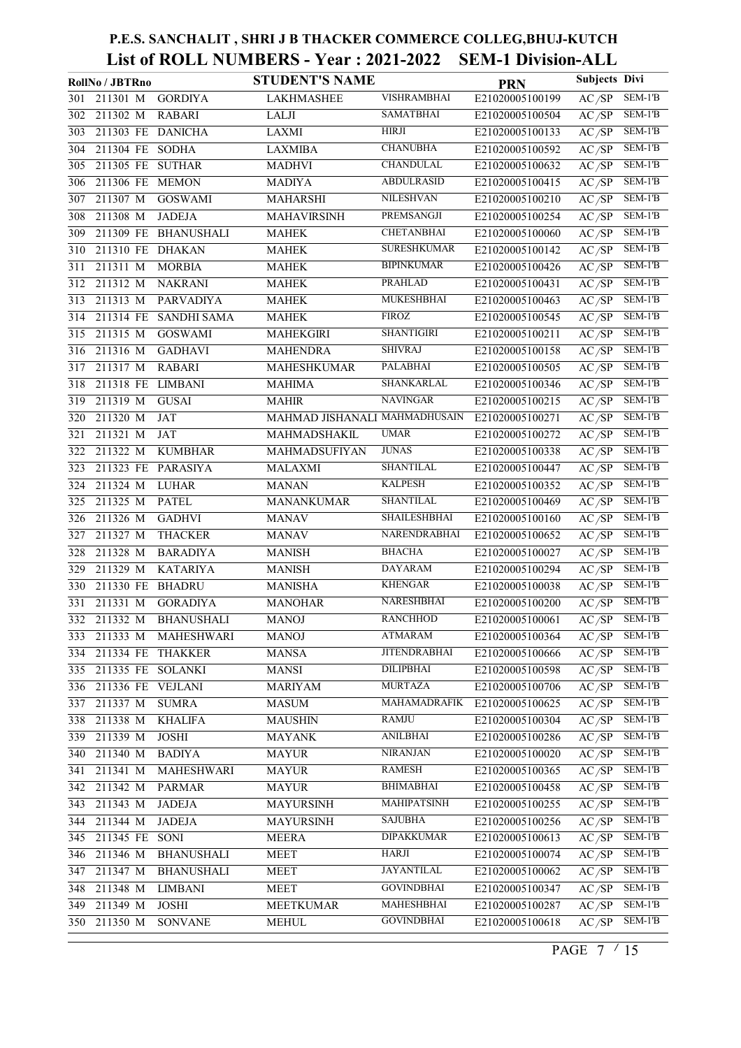|     | RollNo / JBTRno       |                         | <b>STUDENT'S NAME</b>         |                     | <b>PRN</b>      | Subjects Divi      |           |
|-----|-----------------------|-------------------------|-------------------------------|---------------------|-----------------|--------------------|-----------|
| 301 | 211301 M              | <b>GORDIYA</b>          | <b>LAKHMASHEE</b>             | <b>VISHRAMBHAI</b>  | E21020005100199 | AC/SP              | SEM-1'B   |
| 302 | 211302 M              | <b>RABARI</b>           | LALJI                         | <b>SAMATBHAI</b>    | E21020005100504 | AC/SP              | SEM-1'B   |
| 303 | 211303 FE DANICHA     |                         | LAXMI                         | HIRJI               | E21020005100133 | AC/SP              | SEM-1'B   |
| 304 | 211304 FE SODHA       |                         | <b>LAXMIBA</b>                | <b>CHANUBHA</b>     | E21020005100592 | AC/SP              | SEM-1'B   |
| 305 | 211305 FE SUTHAR      |                         | <b>MADHVI</b>                 | <b>CHANDULAL</b>    | E21020005100632 | AC/SP              | SEM-1'B   |
| 306 | 211306 FE MEMON       |                         | <b>MADIYA</b>                 | <b>ABDULRASID</b>   | E21020005100415 | AC/SP              | $SEM-1'B$ |
| 307 | 211307 M              | <b>GOSWAMI</b>          | MAHARSHI                      | <b>NILESHVAN</b>    | E21020005100210 | AC/SP              | SEM-1'B   |
| 308 | 211308 M              | <b>JADEJA</b>           | <b>MAHAVIRSINH</b>            | PREMSANGJI          | E21020005100254 | AC/SP              | SEM-1'B   |
| 309 |                       | 211309 FE BHANUSHALI    | <b>MAHEK</b>                  | <b>CHETANBHAI</b>   | E21020005100060 | AC/SP              | $SEM-1'B$ |
| 310 | 211310 FE DHAKAN      |                         | <b>MAHEK</b>                  | <b>SURESHKUMAR</b>  | E21020005100142 | AC/SP              | SEM-1'B   |
| 311 | 211311 M              | <b>MORBIA</b>           | <b>MAHEK</b>                  | <b>BIPINKUMAR</b>   | E21020005100426 | AC/SP              | SEM-1'B   |
| 312 | 211312 M              | <b>NAKRANI</b>          | <b>MAHEK</b>                  | <b>PRAHLAD</b>      | E21020005100431 | AC/SP              | SEM-1'B   |
| 313 | 211313 M              | <b>PARVADIYA</b>        | <b>MAHEK</b>                  | <b>MUKESHBHAI</b>   | E21020005100463 | AC/SP              | SEM-1'B   |
| 314 | 211314 FE             | SANDHI SAMA             | <b>MAHEK</b>                  | FIROZ               | E21020005100545 | AC/SP              | SEM-1'B   |
| 315 | 211315 M              | <b>GOSWAMI</b>          | <b>MAHEKGIRI</b>              | <b>SHANTIGIRI</b>   | E21020005100211 | AC/SP              | SEM-1'B   |
| 316 | 211316 M              | <b>GADHAVI</b>          | <b>MAHENDRA</b>               | <b>SHIVRAJ</b>      | E21020005100158 | AC/SP              | SEM-1'B   |
| 317 | 211317 M              | <b>RABARI</b>           | MAHESHKUMAR                   | <b>PALABHAI</b>     | E21020005100505 | AC/SP              | $SEM-1'B$ |
| 318 | 211318 FE LIMBANI     |                         | <b>MAHIMA</b>                 | SHANKARLAL          | E21020005100346 | AC/SP              | SEM-1'B   |
| 319 | 211319 M              | <b>GUSAI</b>            | <b>MAHIR</b>                  | <b>NAVINGAR</b>     | E21020005100215 | AC/SP              | $SEM-1'B$ |
| 320 | 211320 M              | JAT                     | MAHMAD JISHANALI MAHMADHUSAIN |                     | E21020005100271 | AC/SP              | $SEM-1'B$ |
| 321 | 211321 M              | JAT                     | MAHMADSHAKIL                  | <b>UMAR</b>         | E21020005100272 | AC/SP              | SEM-1'B   |
| 322 | 211322 M              | <b>KUMBHAR</b>          | MAHMADSUFIYAN                 | <b>JUNAS</b>        | E21020005100338 | AC/SP              | SEM-1'B   |
| 323 | 211323 FE PARASIYA    |                         | MALAXMI                       | <b>SHANTILAL</b>    | E21020005100447 | AC/SP              | $SEM-1'B$ |
| 324 | 211324 M              | <b>LUHAR</b>            | <b>MANAN</b>                  | <b>KALPESH</b>      | E21020005100352 | AC/SP              | SEM-1'B   |
| 325 | 211325 M              | <b>PATEL</b>            | <b>MANANKUMAR</b>             | <b>SHANTILAL</b>    | E21020005100469 | AC/SP              | $SEM-1'B$ |
| 326 | 211326 M              | <b>GADHVI</b>           | <b>MANAV</b>                  | SHAILESHBHAI        | E21020005100160 | AC/SP              | SEM-1'B   |
| 327 | $2\overline{11327}$ M | <b>THACKER</b>          | <b>MANAV</b>                  | NARENDRABHAI        | E21020005100652 | AC/SP              | $SEM-1'B$ |
| 328 | 211328 M              | <b>BARADIYA</b>         | <b>MANISH</b>                 | <b>BHACHA</b>       | E21020005100027 | AC/SP              | SEM-1'B   |
| 329 | 211329 M              | <b>KATARIYA</b>         | <b>MANISH</b>                 | <b>DAYARAM</b>      | E21020005100294 | AC/SP              | SEM-1'B   |
| 330 | 211330 FE             | <b>BHADRU</b>           | <b>MANISHA</b>                | KHENGAR             | E21020005100038 | AC/SP              | SEM-1'B   |
| 331 | 211331 M              | <b>GORADIYA</b>         | <b>MANOHAR</b>                | NARESHBHAI          | E21020005100200 | AC/SP              | $SEM-1'B$ |
|     | 332 211332 M          | <b>BHANUSHALI</b>       | <b>MANOJ</b>                  | <b>RANCHHOD</b>     | E21020005100061 | AC/SP              | $SEM-1'B$ |
|     |                       | 333 211333 M MAHESHWARI | <b>MANOJ</b>                  | <b>ATMARAM</b>      | E21020005100364 | AC/SP              | $SEM-1'B$ |
| 334 | 211334 FE THAKKER     |                         | <b>MANSA</b>                  | <b>JITENDRABHAI</b> | E21020005100666 | AC/SP              | SEM-1'B   |
| 335 | 211335 FE SOLANKI     |                         | <b>MANSI</b>                  | <b>DILIPBHAI</b>    | E21020005100598 | AC/SP              | $SEM-1'B$ |
| 336 | 211336 FE VEJLANI     |                         | <b>MARIYAM</b>                | <b>MURTAZA</b>      | E21020005100706 | AC/SP              | SEM-1'B   |
| 337 | 211337 M              | <b>SUMRA</b>            | <b>MASUM</b>                  | <b>MAHAMADRAFIK</b> | E21020005100625 | AC/SP              | $SEM-1'B$ |
| 338 | 211338 M              | <b>KHALIFA</b>          | <b>MAUSHIN</b>                | RAMJU               | E21020005100304 | $\overline{AC/SP}$ | SEM-1'B   |
| 339 | 211339 M              | <b>JOSHI</b>            | <b>MAYANK</b>                 | <b>ANILBHAI</b>     | E21020005100286 | AC/SP              | SEM-1'B   |
| 340 | 211340 M              | <b>BADIYA</b>           | <b>MAYUR</b>                  | <b>NIRANJAN</b>     | E21020005100020 | AC/SP              | SEM-1'B   |
| 341 | 211341 M              | MAHESHWARI              | <b>MAYUR</b>                  | <b>RAMESH</b>       | E21020005100365 | AC/SP              | $SEM-1'B$ |
| 342 | 211342 M              | <b>PARMAR</b>           | <b>MAYUR</b>                  | <b>BHIMABHAI</b>    | E21020005100458 | AC/SP              | SEM-1'B   |
| 343 | 211343 M              | <b>JADEJA</b>           | <b>MAYURSINH</b>              | <b>MAHIPATSINH</b>  | E21020005100255 | AC/SP              | SEM-1'B   |
| 344 | 211344 M              | <b>JADEJA</b>           | <b>MAYURSINH</b>              | <b>SAJUBHA</b>      | E21020005100256 | AC/SP              | SEM-1'B   |
| 345 | 211345 FE SONI        |                         | <b>MEERA</b>                  | <b>DIPAKKUMAR</b>   | E21020005100613 | AC/SP              | SEM-1'B   |
| 346 | 211346 M              | <b>BHANUSHALI</b>       | <b>MEET</b>                   | HARJI               | E21020005100074 | AC/SP              | SEM-1'B   |
| 347 | 211347 M              | <b>BHANUSHALI</b>       | MEET                          | <b>JAYANTILAL</b>   | E21020005100062 | AC/SP              | SEM-1'B   |
| 348 | 211348 M              | <b>LIMBANI</b>          | <b>MEET</b>                   | <b>GOVINDBHAI</b>   | E21020005100347 | AC/SP              | SEM-1'B   |
| 349 | 211349 M              | <b>JOSHI</b>            | <b>MEETKUMAR</b>              | <b>MAHESHBHAI</b>   | E21020005100287 | AC/SP              | SEM-1'B   |
| 350 | 211350 M              | <b>SONVANE</b>          | <b>MEHUL</b>                  | <b>GOVINDBHAI</b>   | E21020005100618 | AC/SP              | SEM-1'B   |
|     |                       |                         |                               |                     |                 |                    |           |

PAGE 7  $\frac{7}{15}$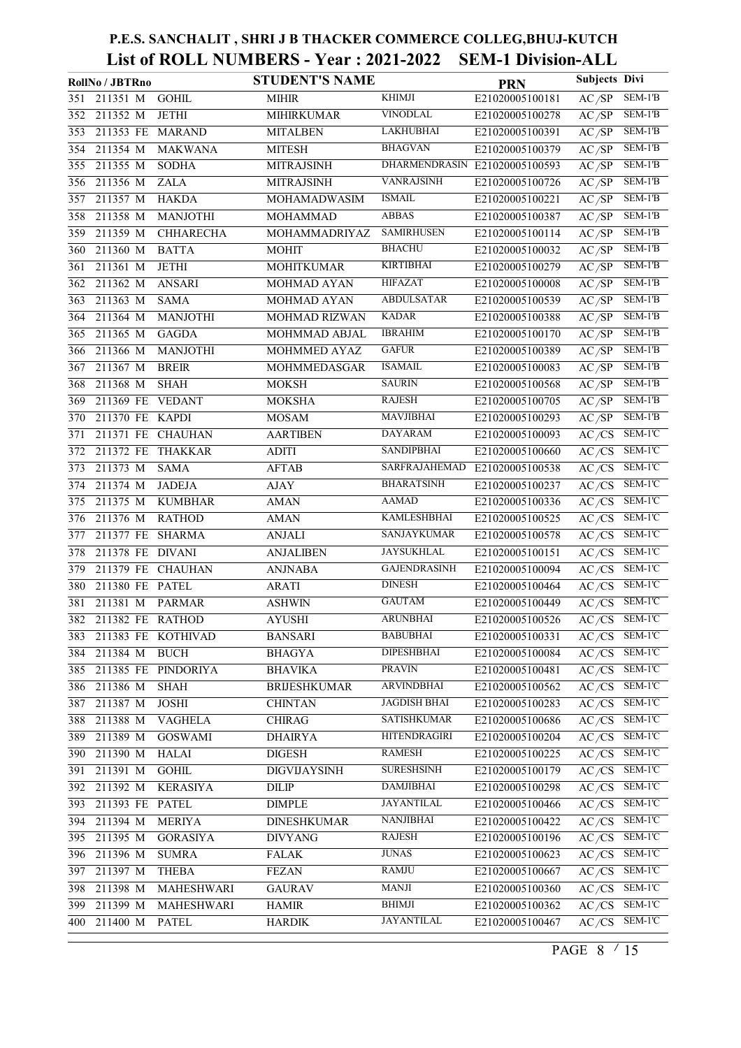|     | RollNo / JBTRno      |                     | <b>STUDENT'S NAME</b> |                      | <b>PRN</b>      | <b>Subjects Divi</b> |                            |
|-----|----------------------|---------------------|-----------------------|----------------------|-----------------|----------------------|----------------------------|
| 351 | 211351 M             | <b>GOHIL</b>        | MIHIR                 | <b>KHIMJI</b>        | E21020005100181 | AC/SP                | SEM-1'B                    |
| 352 | 211352 M             | <b>JETHI</b>        | MIHIRKUMAR            | <b>VINODLAL</b>      | E21020005100278 | AC/SP                | SEM-1'B                    |
| 353 | 211353 FE MARAND     |                     | <b>MITALBEN</b>       | <b>LAKHUBHAI</b>     | E21020005100391 | AC/SP                | SEM-1'B                    |
| 354 | 211354 M             | <b>MAKWANA</b>      | <b>MITESH</b>         | <b>BHAGVAN</b>       | E21020005100379 | AC/SP                | $SEM-1'B$                  |
| 355 | 211355 M             | <b>SODHA</b>        | <b>MITRAJSINH</b>     | <b>DHARMENDRASIN</b> | E21020005100593 | AC/SP                | SEM-1'B                    |
| 356 | 211356 M             | <b>ZALA</b>         | <b>MITRAJSINH</b>     | <b>VANRAJSINH</b>    | E21020005100726 | AC/SP                | SEM-1'B                    |
| 357 | 211357 M             | <b>HAKDA</b>        | <b>MOHAMADWASIM</b>   | <b>ISMAIL</b>        | E21020005100221 | AC/SP                | $SEM-1'B$                  |
| 358 | 211358 M             | <b>MANJOTHI</b>     | <b>MOHAMMAD</b>       | <b>ABBAS</b>         | E21020005100387 | AC/SP                | $SEM-1'B$                  |
| 359 | 211359 M             | CHHARECHA           | MOHAMMADRIYAZ         | <b>SAMIRHUSEN</b>    | E21020005100114 | AC/SP                | $SEM-1'B$                  |
| 360 | 211360 M             | <b>BATTA</b>        | <b>MOHIT</b>          | <b>BHACHU</b>        | E21020005100032 | AC/SP                | $SEM-1'B$                  |
| 361 | 211361 M             | <b>JETHI</b>        | <b>MOHITKUMAR</b>     | <b>KIRTIBHAI</b>     | E21020005100279 | AC/SP                | SEM-1'B                    |
| 362 | 211362 M             | <b>ANSARI</b>       | MOHMAD AYAN           | <b>HIFAZAT</b>       | E21020005100008 | AC/SP                | $SEM-1'B$                  |
| 363 | 211363 M             | <b>SAMA</b>         | MOHMAD AYAN           | <b>ABDULSATAR</b>    | E21020005100539 | $\overline{AC/SP}$   | SEM-1'B                    |
| 364 | 211364 M             | <b>MANJOTHI</b>     | MOHMAD RIZWAN         | <b>KADAR</b>         | E21020005100388 | AC/SP                | $SEM-1'B$                  |
| 365 | 211365 M             | <b>GAGDA</b>        | MOHMMAD ABJAL         | <b>IBRAHIM</b>       | E21020005100170 | AC/SP                | SEM-1'B                    |
| 366 | 211366 M             | <b>MANJOTHI</b>     | MOHMMED AYAZ          | <b>GAFUR</b>         | E21020005100389 | AC/SP                | $SEM-1'B$                  |
| 367 | 211367 M             | <b>BREIR</b>        | MOHMMEDASGAR          | <b>ISAMAIL</b>       | E21020005100083 | AC/SP                | $SEM-1'B$                  |
| 368 | 211368 M             | <b>SHAH</b>         | <b>MOKSH</b>          | <b>SAURIN</b>        | E21020005100568 | AC/SP                | $SEM-1'B$                  |
| 369 | 211369 FE            | <b>VEDANT</b>       | <b>MOKSHA</b>         | <b>RAJESH</b>        | E21020005100705 | AC/SP                | SEM-1'B                    |
| 370 | 211370 FE KAPDI      |                     | <b>MOSAM</b>          | <b>MAVJIBHAI</b>     | E21020005100293 | AC/SP                | $SEM-1'B$                  |
| 371 | 211371 FE CHAUHAN    |                     | <b>AARTIBEN</b>       | <b>DAYARAM</b>       | E21020005100093 | $A\overline{C/CS}$   | SEM-1'C                    |
| 372 | 211372 FE THAKKAR    |                     | ADITI                 | SANDIPBHAI           | E21020005100660 | $A\overline{C/CS}$   | $SEM-1'C$                  |
| 373 | 211373 M             | <b>SAMA</b>         | <b>AFTAB</b>          | SARFRAJAHEMAD        | E21020005100538 | $A\overline{C/CS}$   | SEM-1'C                    |
| 374 | 211374 M             | <b>JADEJA</b>       | AJAY                  | <b>BHARATSINH</b>    | E21020005100237 | AC/CS                | SEM-1'C                    |
| 375 | 211375 M             | <b>KUMBHAR</b>      | <b>AMAN</b>           | <b>AAMAD</b>         | E21020005100336 | AC/CS                | SEM-1'C                    |
| 376 | 211376 M             | <b>RATHOD</b>       | <b>AMAN</b>           | <b>KAMLESHBHAI</b>   | E21020005100525 | AC/CS                | SEM-1'C                    |
| 377 | 211377 FE SHARMA     |                     | <b>ANJALI</b>         | SANJAYKUMAR          | E21020005100578 | AC/CS                | SEM-1'C                    |
| 378 | 211378 FE DIVANI     |                     | <b>ANJALIBEN</b>      | <b>JAYSUKHLAL</b>    | E21020005100151 | AC/CS                | SEM-1'C                    |
| 379 | 211379 FE CHAUHAN    |                     | <b>ANJNABA</b>        | <b>GAJENDRASINH</b>  | E21020005100094 | AC/CS                | SEM-1'C                    |
| 380 | 211380 FE PATEL      |                     | <b>ARATI</b>          | <b>DINESH</b>        | E21020005100464 | AC/CS                | $SEM-1'C$                  |
| 381 | 211381 M             | <b>PARMAR</b>       | <b>ASHWIN</b>         | <b>GAUTAM</b>        | E21020005100449 | AC/CS                | SEM-1'C                    |
|     | 382 211382 FE RATHOD |                     | <b>AYUSHI</b>         | <b>ARUNBHAI</b>      | E21020005100526 |                      | $A\overline{C/CS}$ SEM-1'C |
| 383 |                      | 211383 FE KOTHIVAD  | <b>BANSARI</b>        | <b>BABUBHAI</b>      | E21020005100331 | $AC/CS$ SEM-1'C      |                            |
| 384 | 211384 M             | <b>BUCH</b>         | <b>BHAGYA</b>         | <b>DIPESHBHAI</b>    | E21020005100084 | AC/CS                | SEM-1'C                    |
| 385 |                      | 211385 FE PINDORIYA | <b>BHAVIKA</b>        | <b>PRAVIN</b>        | E21020005100481 | AC/CS                | SEM-1'C                    |
| 386 | 211386 M             | <b>SHAH</b>         | <b>BRIJESHKUMAR</b>   | <b>ARVINDBHAI</b>    | E21020005100562 | AC/CS                | SEM-1'C                    |
| 387 | 211387 M             | <b>JOSHI</b>        | <b>CHINTAN</b>        | <b>JAGDISH BHAI</b>  | E21020005100283 |                      | $A\overline{C/CS}$ SEM-1'C |
| 388 | 211388 M             | <b>VAGHELA</b>      | <b>CHIRAG</b>         | <b>SATISHKUMAR</b>   | E21020005100686 |                      | $AC/CS$ SEM-1'C            |
| 389 | 211389 M             | <b>GOSWAMI</b>      | <b>DHAIRYA</b>        | <b>HITENDRAGIRI</b>  | E21020005100204 | AC/CS                | SEM-1'C                    |
| 390 | 211390 M             | <b>HALAI</b>        | <b>DIGESH</b>         | <b>RAMESH</b>        | E21020005100225 | AC/CS                | SEM-1'C                    |
| 391 | 211391 M             | <b>GOHIL</b>        | <b>DIGVIJAYSINH</b>   | <b>SURESHSINH</b>    | E21020005100179 | AC/CS                | SEM-1'C                    |
| 392 | 211392 M             | <b>KERASIYA</b>     | DILIP                 | <b>DAMJIBHAI</b>     | E21020005100298 |                      | $AC/CS$ SEM-1'C            |
| 393 | 211393 FE            | <b>PATEL</b>        | <b>DIMPLE</b>         | <b>JAYANTILAL</b>    | E21020005100466 | AC/CS                | SEM-1'C                    |
| 394 | 211394 M             | <b>MERIYA</b>       | <b>DINESHKUMAR</b>    | <b>NANJIBHAI</b>     | E21020005100422 | AC/CS                | SEM-1'C                    |
| 395 | 211395 M             | <b>GORASIYA</b>     | <b>DIVYANG</b>        | <b>RAJESH</b>        | E21020005100196 | AC/CS                | SEM-1'C                    |
| 396 | 211396 M             | <b>SUMRA</b>        | <b>FALAK</b>          | <b>JUNAS</b>         | E21020005100623 |                      | AC/CS SEM-1'C              |
| 397 | 211397 M             | <b>THEBA</b>        | <b>FEZAN</b>          | <b>RAMJU</b>         | E21020005100667 | AC/CS                | SEM-1'C                    |
| 398 | 211398 M             | MAHESHWARI          | <b>GAURAV</b>         | <b>MANJI</b>         | E21020005100360 | AC/CS                | SEM-1'C                    |
| 399 | 211399 M             | MAHESHWARI          | <b>HAMIR</b>          | <b>BHIMJI</b>        | E21020005100362 | AC/CS                | SEM-1'C                    |
| 400 | 211400 M             | <b>PATEL</b>        | <b>HARDIK</b>         | <b>JAYANTILAL</b>    | E21020005100467 |                      | AC/CS SEM-1'C              |

PAGE 8  $\frac{15}{15}$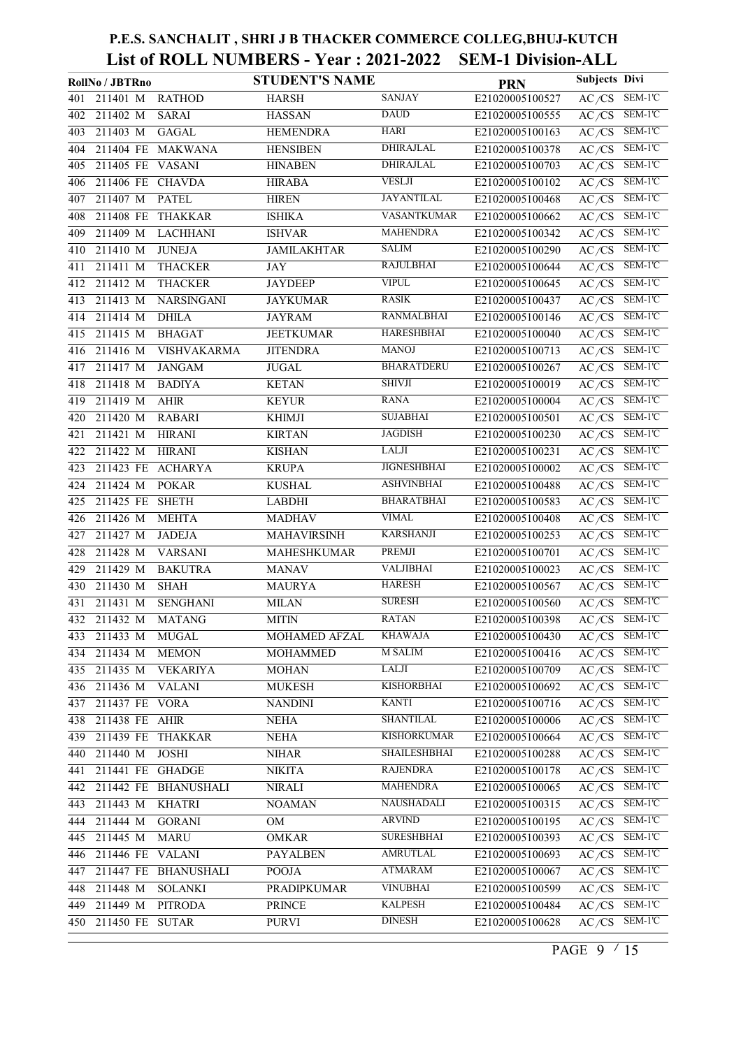|     | RollNo / JBTRno   |                      | <b>STUDENT'S NAME</b> |                     | <b>PRN</b>      | Subjects Divi                 |
|-----|-------------------|----------------------|-----------------------|---------------------|-----------------|-------------------------------|
| 401 | 211401 M          | <b>RATHOD</b>        | <b>HARSH</b>          | <b>SANJAY</b>       | E21020005100527 | AC/CS<br>SEM-1'C              |
| 402 | 211402 M          | <b>SARAI</b>         | <b>HASSAN</b>         | <b>DAUD</b>         | E21020005100555 | SEM-1'C<br>AC/CS              |
| 403 | 211403 M          | <b>GAGAL</b>         | <b>HEMENDRA</b>       | HARI                | E21020005100163 | SEM-1'C<br>AC/CS              |
| 404 |                   | 211404 FE MAKWANA    | <b>HENSIBEN</b>       | <b>DHIRAJLAL</b>    | E21020005100378 | $SEM-1'C$<br>AC/CS            |
| 405 | 211405 FE VASANI  |                      | <b>HINABEN</b>        | <b>DHIRAJLAL</b>    | E21020005100703 | SEM-1'C<br>$A\overline{C/CS}$ |
| 406 | 211406 FE CHAVDA  |                      | <b>HIRABA</b>         | <b>VESLJI</b>       | E21020005100102 | SEM-1'C<br>AC/CS              |
| 407 | 211407 M          | <b>PATEL</b>         | <b>HIREN</b>          | JAYANTILAL          | E21020005100468 | SEM-1'C<br>$A\overline{C/CS}$ |
| 408 | 211408 FE         | <b>THAKKAR</b>       | <b>ISHIKA</b>         | <b>VASANTKUMAR</b>  | E21020005100662 | SEM-1'C<br>AC/CS              |
| 409 | 211409 M          | LACHHANI             | <b>ISHVAR</b>         | <b>MAHENDRA</b>     | E21020005100342 | SEM-1'C<br>AC/CS              |
| 410 | 211410 M          | <b>JUNEJA</b>        | <b>JAMILAKHTAR</b>    | <b>SALIM</b>        | E21020005100290 | SEM-1'C<br>AC/CS              |
| 411 | 211411 M          | <b>THACKER</b>       | <b>JAY</b>            | <b>RAJULBHAI</b>    | E21020005100644 | SEM-1'C<br>AC/CS              |
| 412 | 211412 M          | <b>THACKER</b>       | <b>JAYDEEP</b>        | <b>VIPUL</b>        | E21020005100645 | SEM-1'C<br>AC/CS              |
| 413 | 211413 M          | <b>NARSINGANI</b>    | <b>JAYKUMAR</b>       | <b>RASIK</b>        | E21020005100437 | SEM-1'C<br>AC/CS              |
| 414 | 211414 M          | <b>DHILA</b>         | <b>JAYRAM</b>         | <b>RANMALBHAI</b>   | E21020005100146 | SEM-1'C<br>AC/CS              |
| 415 | 211415 M          | <b>BHAGAT</b>        | <b>JEETKUMAR</b>      | <b>HARESHBHAI</b>   | E21020005100040 | SEM-1'C<br>$A\overline{C/CS}$ |
| 416 | 211416 M          | <b>VISHVAKARMA</b>   | <b>JITENDRA</b>       | <b>MANOJ</b>        | E21020005100713 | SEM-1'C<br>AC/CS              |
| 417 | 211417 M          | <b>JANGAM</b>        | <b>JUGAL</b>          | <b>BHARATDERU</b>   | E21020005100267 | SEM-1'C<br>AC/CS              |
| 418 | 211418 M          | <b>BADIYA</b>        | <b>KETAN</b>          | <b>SHIVJI</b>       | E21020005100019 | SEM-1'C<br>AC/CS              |
| 419 | 211419 M          | <b>AHIR</b>          | <b>KEYUR</b>          | RANA                | E21020005100004 | SEM-1'C<br>AC/CS              |
| 420 | $211420$ M        | <b>RABARI</b>        | <b>KHIMJI</b>         | <b>SUJABHAI</b>     | E21020005100501 | $SEM-1'C$<br>AC/CS            |
| 421 | 211421 M          | <b>HIRANI</b>        | <b>KIRTAN</b>         | <b>JAGDISH</b>      | E21020005100230 | SEM-1'C<br>AC/CS              |
| 422 | 211422 M          | <b>HIRANI</b>        | <b>KISHAN</b>         | <b>LALJI</b>        | E21020005100231 | SEM-1'C<br>AC/CS              |
| 423 | 211423 FE         | <b>ACHARYA</b>       | <b>KRUPA</b>          | <b>JIGNESHBHAI</b>  | E21020005100002 | SEM-1'C<br>$A\overline{C/CS}$ |
| 424 | 211424 M          | <b>POKAR</b>         | <b>KUSHAL</b>         | <b>ASHVINBHAI</b>   | E21020005100488 | SEM-1'C<br>AC/CS              |
| 425 | 211425 FE SHETH   |                      | <b>LABDHI</b>         | <b>BHARATBHAI</b>   | E21020005100583 | SEM-1'C<br>AC/CS              |
| 426 | 211426 M          | <b>MEHTA</b>         | <b>MADHAV</b>         | VIMAL               | E21020005100408 | SEM-1'C<br>AC/CS              |
| 427 | 211427 M          | <b>JADEJA</b>        | <b>MAHAVIRSINH</b>    | <b>KARSHANJI</b>    | E21020005100253 | SEM-1'C<br>AC/CS              |
| 428 | 211428 M          | <b>VARSANI</b>       | MAHESHKUMAR           | PREMJI              | E21020005100701 | SEM-1'C<br>AC/CS              |
| 429 | 211429 M          | <b>BAKUTRA</b>       | <b>MANAV</b>          | <b>VALJIBHAI</b>    | E21020005100023 | SEM-1'C<br>AC/CS              |
| 430 | 211430 M          | <b>SHAH</b>          | <b>MAURYA</b>         | <b>HARESH</b>       | E21020005100567 | SEM-1'C<br>AC/CS              |
| 431 | 211431 M          | <b>SENGHANI</b>      | <b>MILAN</b>          | <b>SURESH</b>       | E21020005100560 | SEM-1'C<br>$A\overline{C/CS}$ |
|     | 432 211432 M      | <b>MATANG</b>        | MITIN                 | <b>RATAN</b>        | E21020005100398 | $A\overline{C/CS}$ SEM-1'C    |
| 433 | 211433 M          | MUGAL                | MOHAMED AFZAL         | <b>KHAWAJA</b>      | E21020005100430 | $AC/CS$ SEM-1'C               |
| 434 | 211434 M          | <b>MEMON</b>         | <b>MOHAMMED</b>       | <b>M SALIM</b>      | E21020005100416 | $AC/CS$ SEM-1'C               |
| 435 | 211435 M          | <b>VEKARIYA</b>      | <b>MOHAN</b>          | <b>LALJI</b>        | E21020005100709 | AC/CS<br>SEM-1'C              |
| 436 | 211436 M          | <b>VALANI</b>        | <b>MUKESH</b>         | <b>KISHORBHAI</b>   | E21020005100692 | $AC/CS$ SEM-1'C               |
| 437 | 211437 FE VORA    |                      | <b>NANDINI</b>        | <b>KANTI</b>        | E21020005100716 | $A\overline{C/CS}$ SEM-1'C    |
| 438 | 211438 FE AHIR    |                      | <b>NEHA</b>           | <b>SHANTILAL</b>    | E21020005100006 | AC/CS SEM-1'C                 |
| 439 | 211439 FE THAKKAR |                      | <b>NEHA</b>           | <b>KISHORKUMAR</b>  | E21020005100664 | $AC/CS$ SEM-1'C               |
| 440 | 211440 M          | <b>JOSHI</b>         | <b>NIHAR</b>          | <b>SHAILESHBHAI</b> | E21020005100288 | SEM-1'C<br>AC/CS              |
| 441 | 211441 FE GHADGE  |                      | <b>NIKITA</b>         | <b>RAJENDRA</b>     | E21020005100178 | SEM-1'C<br>AC/CS              |
| 442 |                   | 211442 FE BHANUSHALI | <b>NIRALI</b>         | <b>MAHENDRA</b>     | E21020005100065 | AC/CS SEM-1'C                 |
| 443 | 211443 M          | <b>KHATRI</b>        | <b>NOAMAN</b>         | <b>NAUSHADALI</b>   | E21020005100315 | AC/CS<br>SEM-1'C              |
| 444 | 211444 M          | <b>GORANI</b>        | OM                    | <b>ARVIND</b>       | E21020005100195 | AC/CS<br>SEM-1'C              |
| 445 | 211445 M          | <b>MARU</b>          | <b>OMKAR</b>          | <b>SURESHBHAI</b>   | E21020005100393 | $A\overline{C/CS}$ SEM-1'C    |
| 446 | 211446 FE VALANI  |                      | <b>PAYALBEN</b>       | AMRUTLAL            | E21020005100693 | $A\overline{C/CS}$ SEM-1'C    |
| 447 |                   | 211447 FE BHANUSHALI | <b>POOJA</b>          | <b>ATMARAM</b>      | E21020005100067 | $AC/CS$ SEM-1'C               |
| 448 | 211448 M          | <b>SOLANKI</b>       | PRADIPKUMAR           | <b>VINUBHAI</b>     | E21020005100599 | SEM-1'C<br>AC/CS              |
| 449 | 211449 M          | <b>PITRODA</b>       | <b>PRINCE</b>         | <b>KALPESH</b>      | E21020005100484 | SEM-1'C<br>AC/CS              |
| 450 | 211450 FE SUTAR   |                      | <b>PURVI</b>          | <b>DINESH</b>       | E21020005100628 | AC/CS SEM-1'C                 |

PAGE 9  $\frac{15}{15}$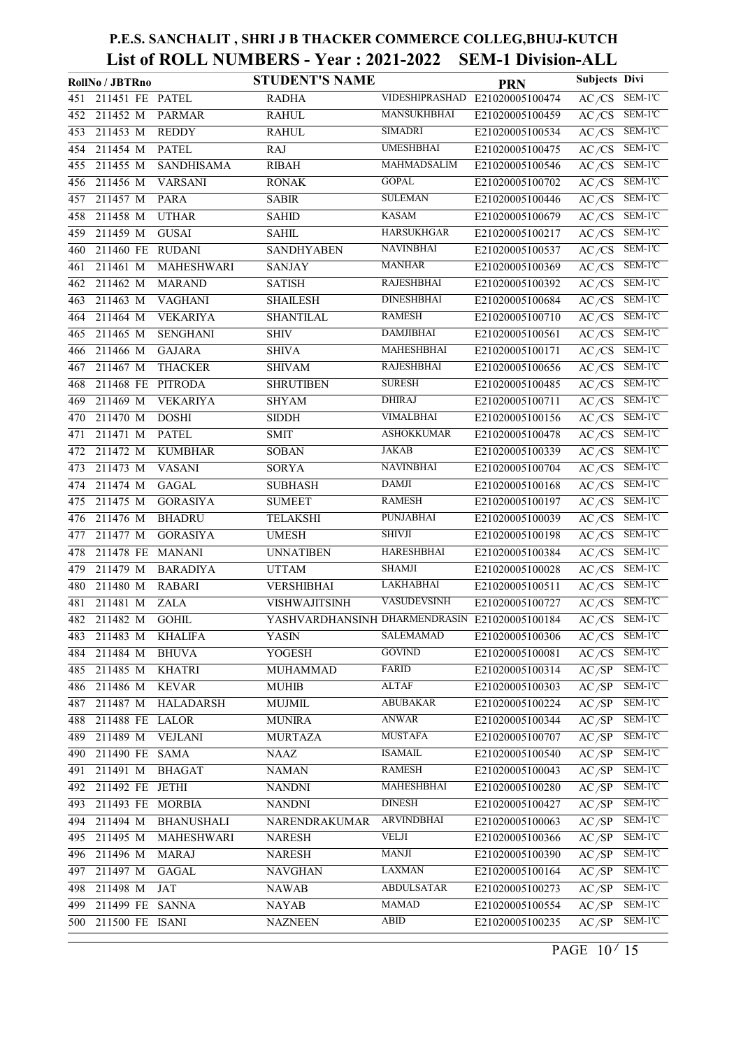|     | RollNo / JBTRno  |                   | <b>STUDENT'S NAME</b>                         |                    | <b>PRN</b>                     | Subjects Divi      |                            |
|-----|------------------|-------------------|-----------------------------------------------|--------------------|--------------------------------|--------------------|----------------------------|
| 451 | 211451 FE PATEL  |                   | <b>RADHA</b>                                  |                    | VIDESHIPRASHAD E21020005100474 | AC/CS              | SEM-1'C                    |
| 452 | 211452 M         | <b>PARMAR</b>     | <b>RAHUL</b>                                  | <b>MANSUKHBHAI</b> | E21020005100459                | AC/CS              | $SEM-1'C$                  |
| 453 | 211453 M         | <b>REDDY</b>      | <b>RAHUL</b>                                  | <b>SIMADRI</b>     | E21020005100534                | AC/CS              | SEM-1'C                    |
| 454 | 211454 M         | <b>PATEL</b>      | <b>RAJ</b>                                    | <b>UMESHBHAI</b>   | E21020005100475                | AC/CS              | SEM-1'C                    |
| 455 | 211455 M         | <b>SANDHISAMA</b> | <b>RIBAH</b>                                  | MAHMADSALIM        | E21020005100546                | AC/CS              | SEM-1'C                    |
| 456 | 211456 M         | <b>VARSANI</b>    | <b>RONAK</b>                                  | <b>GOPAL</b>       | E21020005100702                | AC/CS              | SEM-1'C                    |
| 457 | 211457 M         | <b>PARA</b>       | <b>SABIR</b>                                  | <b>SULEMAN</b>     | E21020005100446                | AC/CS              | SEM-1'C                    |
| 458 | 211458 M         | <b>UTHAR</b>      | <b>SAHID</b>                                  | <b>KASAM</b>       | E21020005100679                | AC/CS              | SEM-1'C                    |
| 459 | 211459 M         | <b>GUSAI</b>      | SAHIL                                         | <b>HARSUKHGAR</b>  | E21020005100217                | AC/CS              | SEM-1'C                    |
| 460 | 211460 FE        | <b>RUDANI</b>     | <b>SANDHYABEN</b>                             | <b>NAVINBHAI</b>   | E21020005100537                | AC/CS              | SEM-1'C                    |
| 461 | 211461 M         | MAHESHWARI        | <b>SANJAY</b>                                 | <b>MANHAR</b>      | E21020005100369                | AC/CS              | SEM-1'C                    |
| 462 | $211462$ M       | <b>MARAND</b>     | <b>SATISH</b>                                 | <b>RAJESHBHAI</b>  | E21020005100392                | AC/CS              | SEM-1'C                    |
| 463 | 211463 M         | <b>VAGHANI</b>    | <b>SHAILESH</b>                               | <b>DINESHBHAI</b>  | E21020005100684                | AC/CS              | $SEM-1'C$                  |
| 464 | $211464$ M       | <b>VEKARIYA</b>   | <b>SHANTILAL</b>                              | <b>RAMESH</b>      | E21020005100710                | AC/CS              | SEM-1'C                    |
| 465 | 211465 M         | <b>SENGHANI</b>   | SHIV                                          | <b>DAMJIBHAI</b>   | E21020005100561                | AC/CS              | SEM-1'C                    |
| 466 | 211466 M         | <b>GAJARA</b>     | <b>SHIVA</b>                                  | MAHESHBHAI         | E21020005100171                | AC/CS              | SEM-1'C                    |
| 467 | 211467 M         | <b>THACKER</b>    | <b>SHIVAM</b>                                 | <b>RAJESHBHAI</b>  | E21020005100656                | AC/CS              | SEM-1'C                    |
| 468 | 211468 FE        | <b>PITRODA</b>    | <b>SHRUTIBEN</b>                              | <b>SURESH</b>      | E21020005100485                | AC/CS              | SEM-1'C                    |
| 469 | 211469 M         | <b>VEKARIYA</b>   | <b>SHYAM</b>                                  | <b>DHIRAJ</b>      | E21020005100711                | AC/CS              | SEM-1'C                    |
| 470 | 211470 M         | <b>DOSHI</b>      | <b>SIDDH</b>                                  | <b>VIMALBHAI</b>   | E21020005100156                | AC/CS              | SEM-1'C                    |
| 471 | 211471 M         | <b>PATEL</b>      | <b>SMIT</b>                                   | <b>ASHOKKUMAR</b>  | E21020005100478                | AC/CS              | SEM-1'C                    |
| 472 | 211472 M         | <b>KUMBHAR</b>    | <b>SOBAN</b>                                  | <b>JAKAB</b>       | E21020005100339                | AC/CS              | SEM-1'C                    |
| 473 | 211473 M         | <b>VASANI</b>     | SORYA                                         | <b>NAVINBHAI</b>   | E21020005100704                | AC/CS              | SEM-1'C                    |
| 474 | 211474 M         | <b>GAGAL</b>      | <b>SUBHASH</b>                                | <b>DAMJI</b>       | E21020005100168                | AC/CS              | SEM-1'C                    |
| 475 | 211475 M         | <b>GORASIYA</b>   | <b>SUMEET</b>                                 | <b>RAMESH</b>      | E21020005100197                | AC/CS              | SEM-1'C                    |
| 476 | 211476 M         | <b>BHADRU</b>     | <b>TELAKSHI</b>                               | <b>PUNJABHAI</b>   | E21020005100039                | AC/CS              | SEM-1'C                    |
| 477 | 211477 M         | <b>GORASIYA</b>   | <b>UMESH</b>                                  | <b>SHIVJI</b>      | E21020005100198                | AC/CS              | SEM-1'C                    |
| 478 | 211478 FE        | <b>MANANI</b>     | <b>UNNATIBEN</b>                              | <b>HARESHBHAI</b>  | E21020005100384                | AC/CS              | SEM-1'C                    |
| 479 | 211479 M         | <b>BARADIYA</b>   | <b>UTTAM</b>                                  | <b>SHAMJI</b>      | E21020005100028                | AC/CS              | SEM-1'C                    |
| 480 | 211480 M         | <b>RABARI</b>     | <b>VERSHIBHAI</b>                             | <b>LAKHABHAI</b>   | E21020005100511                | AC/CS              | SEM-1'C                    |
| 481 | 211481 M         | <b>ZALA</b>       | VISHWAJITSINH                                 | <b>VASUDEVSINH</b> | E21020005100727                | $A\overline{C/CS}$ | SEM-1'C                    |
|     | 482 211482 M     | <b>GOHIL</b>      | YASHVARDHANSINH DHARMENDRASIN E21020005100184 |                    |                                |                    | $A\overline{C/CS}$ SEM-1'C |
| 483 | 211483 M         | KHALIFA           | YASIN                                         | SALEMAMAD          | E21020005100306                | AC/CS              | SEM-1'C                    |
| 484 | 211484 M         | <b>BHUVA</b>      | YOGESH                                        | <b>GOVIND</b>      | E21020005100081                | AC/CS              | SEM-1'C                    |
| 485 | 211485 M         | <b>KHATRI</b>     | MUHAMMAD                                      | FARID              | E21020005100314                | $\overline{AC/SP}$ | SEM-1'C                    |
| 486 | 211486 M         | <b>KEVAR</b>      | <b>MUHIB</b>                                  | <b>ALTAF</b>       | E21020005100303                | AC/SP              | SEM-1'C                    |
| 487 | 211487 M         | <b>HALADARSH</b>  | MUJMIL                                        | <b>ABUBAKAR</b>    | E21020005100224                | AC/SP              | SEM-1'C                    |
| 488 | 211488 FE LALOR  |                   | <b>MUNIRA</b>                                 | ANWAR              | E21020005100344                | AC/SP              | SEM-1'C                    |
| 489 | 211489 M         | <b>VEJLANI</b>    | <b>MURTAZA</b>                                | <b>MUSTAFA</b>     | E21020005100707                | AC/SP              | SEM-1'C                    |
| 490 | 211490 FE SAMA   |                   | NAAZ                                          | <b>ISAMAIL</b>     | E21020005100540                | AC/SP              | SEM-1'C                    |
| 491 | 211491 M         | <b>BHAGAT</b>     | <b>NAMAN</b>                                  | <b>RAMESH</b>      | E21020005100043                | AC/SP              | SEM-1'C                    |
| 492 | 211492 FE JETHI  |                   | <b>NANDNI</b>                                 | <b>MAHESHBHAI</b>  | E21020005100280                | AC/SP              | SEM-1'C                    |
| 493 | 211493 FE MORBIA |                   | <b>NANDNI</b>                                 | <b>DINESH</b>      | E21020005100427                | AC/SP              | SEM-1'C                    |
| 494 | 211494 M         | <b>BHANUSHALI</b> | NARENDRAKUMAR                                 | <b>ARVINDBHAI</b>  | E21020005100063                | AC/SP              | SEM-1'C                    |
| 495 | 211495 M         | MAHESHWARI        | <b>NARESH</b>                                 | <b>VELJI</b>       | E21020005100366                | AC/SP              | SEM-1'C                    |
| 496 | 211496 M         | <b>MARAJ</b>      | <b>NARESH</b>                                 | MANJI              | E21020005100390                | AC/SP              | SEM-1'C                    |
| 497 | 211497 M         | <b>GAGAL</b>      | <b>NAVGHAN</b>                                | <b>LAXMAN</b>      | E21020005100164                | AC/SP              | SEM-1'C                    |
| 498 | 211498 M         | JAT               | <b>NAWAB</b>                                  | <b>ABDULSATAR</b>  | E21020005100273                | AC/SP              | SEM-1'C                    |
| 499 | 211499 FE SANNA  |                   | <b>NAYAB</b>                                  | <b>MAMAD</b>       | E21020005100554                | AC/SP              | SEM-1'C                    |
| 500 | 211500 FE ISANI  |                   | <b>NAZNEEN</b>                                | ABID               | E21020005100235                | AC/SP              | SEM-1'C                    |
|     |                  |                   |                                               |                    |                                |                    |                            |

PAGE  $10/15$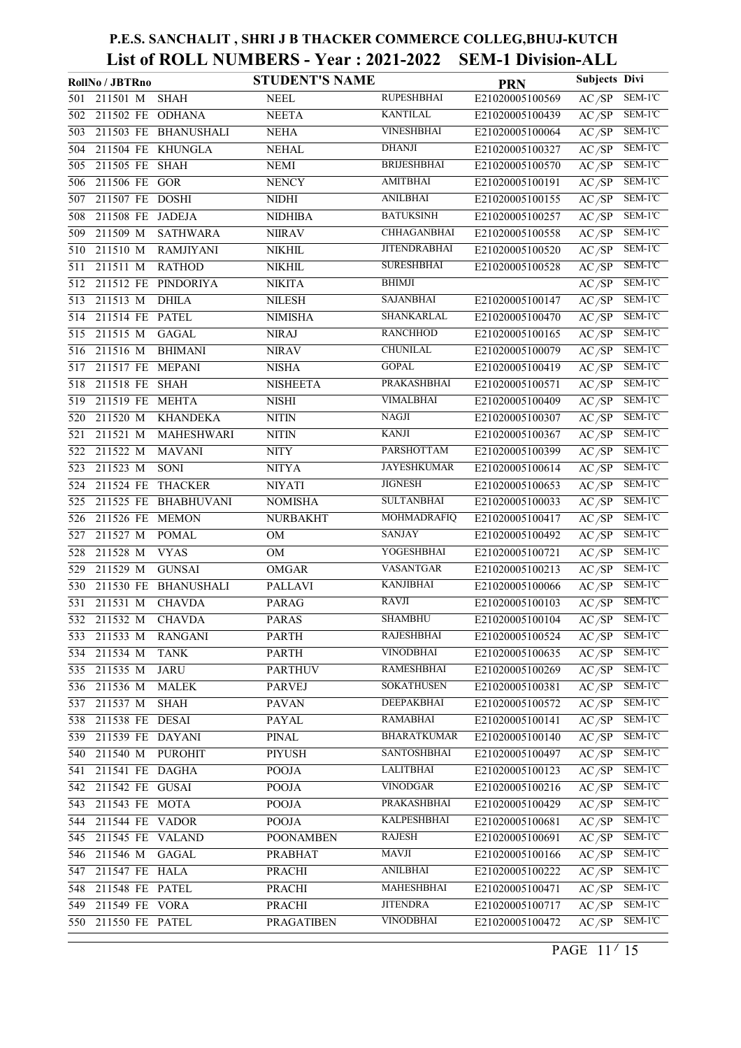|     | RollNo / JBTRno       |                      | <b>STUDENT'S NAME</b> |                     | <b>PRN</b>      | <b>Subjects Divi</b> |                             |
|-----|-----------------------|----------------------|-----------------------|---------------------|-----------------|----------------------|-----------------------------|
| 501 | 211501 M              | <b>SHAH</b>          | <b>NEEL</b>           | <b>RUPESHBHAI</b>   | E21020005100569 | AC/SP                | SEM-1'C                     |
| 502 | 211502 FE ODHANA      |                      | <b>NEETA</b>          | <b>KANTILAL</b>     | E21020005100439 | AC/SP                | SEM-1'C                     |
| 503 |                       | 211503 FE BHANUSHALI | <b>NEHA</b>           | <b>VINESHBHAI</b>   | E21020005100064 | AC/SP                | SEM-1'C                     |
| 504 | 211504 FE KHUNGLA     |                      | <b>NEHAL</b>          | <b>DHANJI</b>       | E21020005100327 | AC/SP                | SEM-1'C                     |
| 505 | 211505 FE SHAH        |                      | <b>NEMI</b>           | <b>BRIJESHBHAI</b>  | E21020005100570 | AC/SP                | SEM-1'C                     |
| 506 | 211506 FE GOR         |                      | <b>NENCY</b>          | <b>AMITBHAI</b>     | E21020005100191 | AC/SP                | SEM-1'C                     |
| 507 | 211507 FE DOSHI       |                      | <b>NIDHI</b>          | <b>ANILBHAI</b>     | E21020005100155 | AC/SP                | SEM-1'C                     |
| 508 | 211508 FE JADEJA      |                      | <b>NIDHIBA</b>        | <b>BATUKSINH</b>    | E21020005100257 | AC/SP                | $\overline{\text{SEM-1'C}}$ |
| 509 | 211509 M              | <b>SATHWARA</b>      | <b>NIIRAV</b>         | <b>CHHAGANBHAI</b>  | E21020005100558 | AC/SP                | SEM-1'C                     |
| 510 | 211510 M              | <b>RAMJIYANI</b>     | NIKHIL                | <b>JITENDRABHAI</b> | E21020005100520 | AC/SP                | $\overline{\text{SEM-1'C}}$ |
| 511 | 211511 M              | <b>RATHOD</b>        | <b>NIKHIL</b>         | <b>SURESHBHAI</b>   | E21020005100528 | AC/SP                | SEM-1'C                     |
| 512 | $211512$ FE           | PINDORIYA            | <b>NIKITA</b>         | <b>BHIMJI</b>       |                 | AC/SP                | $\overline{\text{SEM-1'C}}$ |
| 513 | 211513 M              | <b>DHILA</b>         | <b>NILESH</b>         | <b>SAJANBHAI</b>    | E21020005100147 | AC/SP                | SEM-1'C                     |
| 514 | 211514 FE PATEL       |                      | <b>NIMISHA</b>        | SHANKARLAL          | E21020005100470 | AC/SP                | SEM-1'C                     |
| 515 | 211515 M              | <b>GAGAL</b>         | <b>NIRAJ</b>          | <b>RANCHHOD</b>     | E21020005100165 | AC/SP                | SEM-1'C                     |
| 516 | 211516 M              | <b>BHIMANI</b>       | <b>NIRAV</b>          | <b>CHUNILAL</b>     | E21020005100079 | AC/SP                | SEM-1'C                     |
| 517 | 211517 FE MEPANI      |                      | <b>NISHA</b>          | <b>GOPAL</b>        | E21020005100419 | AC/SP                | SEM-1'C                     |
| 518 | 211518 FE             | <b>SHAH</b>          | <b>NISHEETA</b>       | PRAKASHBHAI         | E21020005100571 | AC/SP                | SEM-1'C                     |
| 519 | 211519 FE MEHTA       |                      | <b>NISHI</b>          | <b>VIMALBHAI</b>    | E21020005100409 | AC/SP                | SEM-1'C                     |
| 520 | 211520 M              | <b>KHANDEKA</b>      | <b>NITIN</b>          | NAGJI               | E21020005100307 | AC/SP                | SEM-1'C                     |
| 521 | 211521 M              | MAHESHWARI           | $\text{NITIN}$        | <b>KANJI</b>        | E21020005100367 | AC/SP                | SEM-1'C                     |
| 522 | 211522 M              | <b>MAVANI</b>        | <b>NITY</b>           | PARSHOTTAM          | E21020005100399 | AC/SP                | SEM-1'C                     |
| 523 | 211523 M              | SONI                 | <b>NITYA</b>          | <b>JAYESHKUMAR</b>  | E21020005100614 | AC/SP                | SEM-1'C                     |
| 524 | 211524 FE             | <b>THACKER</b>       | <b>NIYATI</b>         | <b>JIGNESH</b>      | E21020005100653 | AC/SP                | SEM-1'C                     |
| 525 |                       | 211525 FE BHABHUVANI | <b>NOMISHA</b>        | <b>SULTANBHAI</b>   | E21020005100033 | AC/SP                | SEM-1'C                     |
| 526 | 211526 FE MEMON       |                      | <b>NURBAKHT</b>       | MOHMADRAFIQ         | E21020005100417 | AC/SP                | SEM-1'C                     |
| 527 | 211527 M              | <b>POMAL</b>         | OM                    | <b>SANJAY</b>       | E21020005100492 | AC/SP                | SEM-1'C                     |
| 528 | 211528 M              | <b>VYAS</b>          | OM                    | YOGESHBHAI          | E21020005100721 | AC/SP                | SEM-1'C                     |
| 529 | $21\overline{1529}$ M | <b>GUNSAI</b>        | <b>OMGAR</b>          | <b>VASANTGAR</b>    | E21020005100213 | AC/SP                | $SEM-1'C$                   |
| 530 |                       | 211530 FE BHANUSHALI | <b>PALLAVI</b>        | <b>KANJIBHAI</b>    | E21020005100066 | AC/SP                | SEM-1'C                     |
| 531 | 211531 M              | <b>CHAVDA</b>        | <b>PARAG</b>          | RAVJI               | E21020005100103 | AC/SP                | SEM-1'C                     |
|     | 532 211532 M          | <b>CHAVDA</b>        | <b>PARAS</b>          | <b>SHAMBHU</b>      | E21020005100104 | AC/SP                | SEM-1'C                     |
|     | 533 211533 M          | <b>RANGANI</b>       | PARTH                 | <b>RAJESHBHAI</b>   | E21020005100524 | AC/SP                | SEM-1'C                     |
| 534 | 211534 M              | <b>TANK</b>          | <b>PARTH</b>          | <b>VINODBHAI</b>    | E21020005100635 | AC/SP                | SEM-1'C                     |
| 535 | 211535 M              | <b>JARU</b>          | <b>PARTHUV</b>        | <b>RAMESHBHAI</b>   | E21020005100269 | AC/SP                | SEM-1'C                     |
| 536 | 211536 M              | <b>MALEK</b>         | PARVEJ                | <b>SOKATHUSEN</b>   | E21020005100381 | AC/SP                | SEM-1'C                     |
| 537 | 211537 M              | <b>SHAH</b>          | <b>PAVAN</b>          | <b>DEEPAKBHAI</b>   | E21020005100572 | AC/SP                | SEM-1'C                     |
| 538 | 211538 FE DESAI       |                      | PAYAL                 | <b>RAMABHAI</b>     | E21020005100141 | AC/SP                | SEM-1'C                     |
| 539 | 211539 FE DAYANI      |                      | <b>PINAL</b>          | <b>BHARATKUMAR</b>  | E21020005100140 | AC/SP                | SEM-1'C                     |
| 540 | 211540 M              | <b>PUROHIT</b>       | PIYUSH                | <b>SANTOSHBHAI</b>  | E21020005100497 | AC/SP                | SEM-1'C                     |
| 541 | 211541 FE DAGHA       |                      | <b>POOJA</b>          | <b>LALITBHAI</b>    | E21020005100123 | AC/SP                | SEM-1'C                     |
| 542 | 211542 FE GUSAI       |                      | <b>POOJA</b>          | <b>VINODGAR</b>     | E21020005100216 | AC/SP                | SEM-1'C                     |
| 543 | 211543 FE MOTA        |                      | <b>POOJA</b>          | PRAKASHBHAI         | E21020005100429 | AC/SP                | SEM-1'C                     |
| 544 | 211544 FE VADOR       |                      | <b>POOJA</b>          | KALPESHBHAI         | E21020005100681 | AC/SP                | SEM-1'C                     |
| 545 | 211545 FE VALAND      |                      | <b>POONAMBEN</b>      | <b>RAJESH</b>       | E21020005100691 | AC/SP                | SEM-1'C                     |
| 546 | 211546 M              | <b>GAGAL</b>         | PRABHAT               | MAVJI               | E21020005100166 | AC/SP                | SEM-1'C                     |
| 547 | 211547 FE HALA        |                      | <b>PRACHI</b>         | <b>ANILBHAI</b>     | E21020005100222 | AC/SP                | SEM-1'C                     |
| 548 | 211548 FE PATEL       |                      | PRACHI                | <b>MAHESHBHAI</b>   | E21020005100471 | AC/SP                | SEM-1'C                     |
| 549 | 211549 FE VORA        |                      | <b>PRACHI</b>         | <b>JITENDRA</b>     | E21020005100717 | AC/SP                | SEM-1'C                     |
| 550 | 211550 FE PATEL       |                      | PRAGATIBEN            | <b>VINODBHAI</b>    | E21020005100472 | AC/SP                | SEM-1'C                     |

PAGE  $11'15$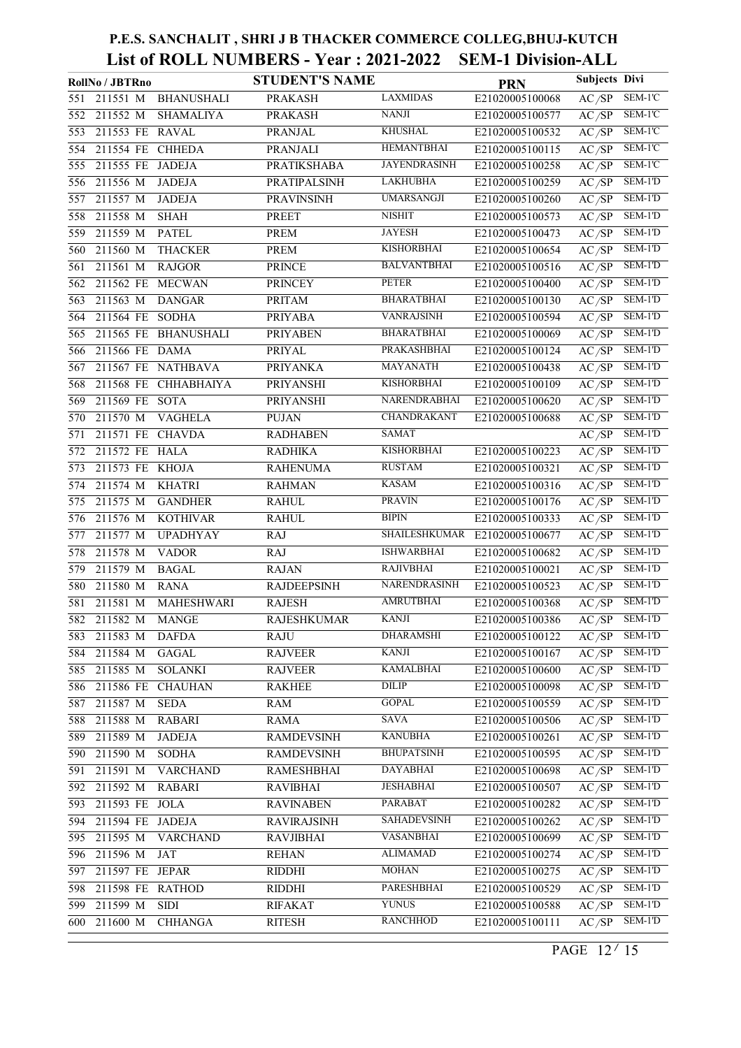|     | RollNo / JBTRno              |                   | <b>STUDENT'S NAME</b> |                      | <b>PRN</b>      | <b>Subjects Divi</b> |           |
|-----|------------------------------|-------------------|-----------------------|----------------------|-----------------|----------------------|-----------|
| 551 | 211551 M                     | <b>BHANUSHALI</b> | <b>PRAKASH</b>        | <b>LAXMIDAS</b>      | E21020005100068 | AC/SP                | SEM-1'C   |
| 552 | 211552 M<br><b>SHAMALIYA</b> |                   | <b>PRAKASH</b>        | <b>NANJI</b>         | E21020005100577 | AC/SP                | SEM-1'C   |
| 553 | 211553 FE RAVAL              |                   | <b>PRANJAL</b>        | <b>KHUSHAL</b>       | E21020005100532 | $\overline{AC/SP}$   | SEM-1'C   |
| 554 | 211554 FE CHHEDA             |                   | PRANJALI              | <b>HEMANTBHAI</b>    | E21020005100115 | AC/SP                | SEM-1'C   |
| 555 | 211555 FE<br><b>JADEJA</b>   |                   | PRATIKSHABA           | <b>JAYENDRASINH</b>  | E21020005100258 | AC/SP                | $SEM-1'C$ |
| 556 | 211556 M<br><b>JADEJA</b>    |                   | PRATIPALSINH          | <b>LAKHUBHA</b>      | E21020005100259 | AC/SP                | SEM-1'D   |
| 557 | 211557 M<br><b>JADEJA</b>    |                   | PRAVINSINH            | <b>UMARSANGJI</b>    | E21020005100260 | AC/SP                | $SEM-1'D$ |
| 558 | 211558 M<br><b>SHAH</b>      |                   | PREET                 | <b>NISHIT</b>        | E21020005100573 | AC/SP                | $SEM-1'D$ |
| 559 | 211559 M<br><b>PATEL</b>     |                   | PREM                  | <b>JAYESH</b>        | E21020005100473 | AC/SP                | $SEM-1'D$ |
| 560 | 211560 M<br><b>THACKER</b>   |                   | <b>PREM</b>           | <b>KISHORBHAI</b>    | E21020005100654 | AC/SP                | SEM-1'D   |
| 561 | 211561 M<br><b>RAJGOR</b>    |                   | <b>PRINCE</b>         | <b>BALVANTBHAI</b>   | E21020005100516 | AC/SP                | $SEM-1'D$ |
| 562 | 211562 FE<br><b>MECWAN</b>   |                   | <b>PRINCEY</b>        | <b>PETER</b>         | E21020005100400 | AC/SP                | SEM-1'D   |
| 563 | 211563 M<br><b>DANGAR</b>    |                   | <b>PRITAM</b>         | <b>BHARATBHAI</b>    | E21020005100130 | AC/SP                | SEM-1'D   |
| 564 | 211564 FE<br><b>SODHA</b>    |                   | <b>PRIYABA</b>        | <b>VANRAJSINH</b>    | E21020005100594 | AC/SP                | $SEM-1'D$ |
| 565 | 211565 FE BHANUSHALI         |                   | <b>PRIYABEN</b>       | <b>BHARATBHAI</b>    | E21020005100069 | AC/SP                | SEM-1'D   |
| 566 | 211566 FE DAMA               |                   | PRIYAL                | PRAKASHBHAI          | E21020005100124 | AC/SP                | $SEM-1'D$ |
| 567 | 211567 FE NATHBAVA           |                   | <b>PRIYANKA</b>       | <b>MAYANATH</b>      | E21020005100438 | AC/SP                | $SEM-1'D$ |
| 568 | 211568 FE CHHABHAIYA         |                   | PRIYANSHI             | <b>KISHORBHAI</b>    | E21020005100109 | AC/SP                | SEM-1'D   |
| 569 | 211569 FE SOTA               |                   | PRIYANSHI             | <b>NARENDRABHAI</b>  | E21020005100620 | AC/SP                | $SEM-1'D$ |
| 570 | 211570 M<br><b>VAGHELA</b>   |                   | PUJAN                 | CHANDRAKANT          | E21020005100688 | AC/SP                | SEM-1'D   |
| 571 | 211571 FE CHAVDA             |                   | <b>RADHABEN</b>       | <b>SAMAT</b>         |                 | AC/SP                | SEM-1'D   |
| 572 | 211572 FE HALA               |                   | <b>RADHIKA</b>        | <b>KISHORBHAI</b>    | E21020005100223 | AC/SP                | SEM-1'D   |
| 573 | 211573 FE KHOJA              |                   | <b>RAHENUMA</b>       | <b>RUSTAM</b>        | E21020005100321 | AC/SP                | SEM-1'D   |
| 574 | 211574 M<br><b>KHATRI</b>    |                   | <b>RAHMAN</b>         | <b>KASAM</b>         | E21020005100316 | AC/SP                | $SEM-1'D$ |
| 575 | 211575 M<br><b>GANDHER</b>   |                   | <b>RAHUL</b>          | <b>PRAVIN</b>        | E21020005100176 | AC/SP                | $SEM-1'D$ |
| 576 | 211576 M<br><b>KOTHIVAR</b>  |                   | <b>RAHUL</b>          | <b>BIPIN</b>         | E21020005100333 | AC/SP                | SEM-1'D   |
| 577 | 211577 M<br><b>UPADHYAY</b>  | <b>RAJ</b>        |                       | <b>SHAILESHKUMAR</b> | E21020005100677 | AC/SP                | SEM-1'D   |
| 578 | 211578 M<br><b>VADOR</b>     | <b>RAJ</b>        |                       | <b>ISHWARBHAI</b>    | E21020005100682 | AC/SP                | SEM-1'D   |
| 579 | 211579 M<br><b>BAGAL</b>     |                   | <b>RAJAN</b>          | <b>RAJIVBHAI</b>     | E21020005100021 | $\overline{AC/SP}$   | SEM-1'D   |
| 580 | 211580 M<br><b>RANA</b>      |                   | <b>RAJDEEPSINH</b>    | NARENDRASINH         | E21020005100523 | AC/SP                | SEM-1'D   |
| 581 | 211581 M                     | MAHESHWARI        | <b>RAJESH</b>         | <b>AMRUTBHAI</b>     | E21020005100368 | AC/SP                | SEM-1'D   |
|     | 582 211582 M<br><b>MANGE</b> |                   | <b>RAJESHKUMAR</b>    | <b>KANJI</b>         | E21020005100386 | AC/SP                | SEM-1'D   |
| 583 | 211583 M<br>DAFDA            |                   | <b>RAJU</b>           | DHARAMSHI            | E21020005100122 | AC/SP                | SEM-1'D   |
| 584 | 211584 M<br><b>GAGAL</b>     |                   | <b>RAJVEER</b>        | KANJI                | E21020005100167 | AC/SP                | SEM-1'D   |
| 585 | <b>SOLANKI</b><br>211585 M   |                   | <b>RAJVEER</b>        | <b>KAMALBHAI</b>     | E21020005100600 | AC/SP                | SEM-1'D   |
| 586 | <b>CHAUHAN</b><br>211586 FE  |                   | <b>RAKHEE</b>         | DILIP                | E21020005100098 | AC/SP                | SEM-1'D   |
| 587 | 211587 M<br><b>SEDA</b>      | <b>RAM</b>        |                       | <b>GOPAL</b>         | E21020005100559 | AC/SP                | SEM-1'D   |
| 588 | 211588 M<br><b>RABARI</b>    |                   | <b>RAMA</b>           | SAVA                 | E21020005100506 | AC/SP                | SEM-1'D   |
| 589 | 211589 M<br><b>JADEJA</b>    |                   | <b>RAMDEVSINH</b>     | <b>KANUBHA</b>       | E21020005100261 | AC/SP                | SEM-1'D   |
| 590 | 211590 M<br><b>SODHA</b>     |                   | <b>RAMDEVSINH</b>     | <b>BHUPATSINH</b>    | E21020005100595 | AC/SP                | SEM-1'D   |
| 591 | 211591 M<br><b>VARCHAND</b>  |                   | RAMESHBHAI            | <b>DAYABHAI</b>      | E21020005100698 | AC/SP                | SEM-1'D   |
| 592 | 211592 M<br><b>RABARI</b>    |                   | <b>RAVIBHAI</b>       | <b>JESHABHAI</b>     | E21020005100507 | AC/SP                | SEM-1'D   |
| 593 | 211593 FE<br><b>JOLA</b>     |                   | <b>RAVINABEN</b>      | <b>PARABAT</b>       | E21020005100282 | AC/SP                | SEM-1'D   |
| 594 | 211594 FE<br><b>JADEJA</b>   |                   | <b>RAVIRAJSINH</b>    | SAHADEVSINH          | E21020005100262 | AC/SP                | SEM-1'D   |
| 595 | 211595 M<br><b>VARCHAND</b>  |                   | <b>RAVJIBHAI</b>      | <b>VASANBHAI</b>     | E21020005100699 | AC/SP                | SEM-1'D   |
| 596 | 211596 M<br>JAT              |                   | <b>REHAN</b>          | <b>ALIMAMAD</b>      | E21020005100274 | AC/SP                | SEM-1'D   |
| 597 | 211597 FE<br>JEPAR           |                   | <b>RIDDHI</b>         | <b>MOHAN</b>         | E21020005100275 | AC/SP                | SEM-1'D   |
| 598 | 211598 FE<br><b>RATHOD</b>   |                   | RIDDHI                | PARESHBHAI           | E21020005100529 | AC/SP                | SEM-1'D   |
| 599 | 211599 M<br><b>SIDI</b>      |                   | <b>RIFAKAT</b>        | <b>YUNUS</b>         | E21020005100588 | AC/SP                | SEM-1'D   |
| 600 | 211600 M<br><b>CHHANGA</b>   |                   | <b>RITESH</b>         | <b>RANCHHOD</b>      | E21020005100111 | AC/SP                | SEM-1'D   |

PAGE  $12'$  15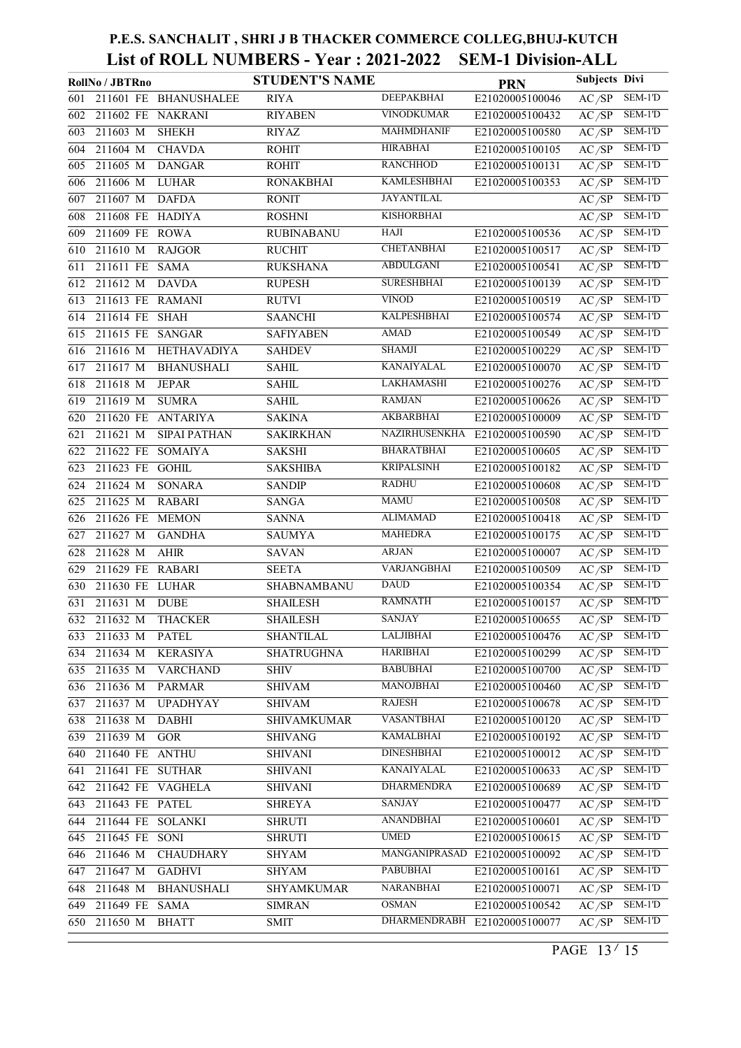|     | RollNo / JBTRno                        | <b>STUDENT'S NAME</b> |                      | <b>PRN</b>                   | Subjects Divi      |           |
|-----|----------------------------------------|-----------------------|----------------------|------------------------------|--------------------|-----------|
| 601 | 211601 FE BHANUSHALEE                  | <b>RIYA</b>           | DEEPAKBHAI           | E21020005100046              | AC/SP              | SEM-1'D   |
| 602 | 211602 FE NAKRANI                      | <b>RIYABEN</b>        | <b>VINODKUMAR</b>    | E21020005100432              | AC/SP              | SEM-1'D   |
| 603 | 211603 M<br><b>SHEKH</b>               | <b>RIYAZ</b>          | <b>MAHMDHANIF</b>    | E21020005100580              | AC/SP              | SEM-1'D   |
| 604 | 211604 M<br><b>CHAVDA</b>              | <b>ROHIT</b>          | <b>HIRABHAI</b>      | E21020005100105              | AC/SP              | SEM-1'D   |
| 605 | 211605 M<br><b>DANGAR</b>              | <b>ROHIT</b>          | <b>RANCHHOD</b>      | E21020005100131              | $\overline{AC/SP}$ | SEM-1'D   |
| 606 | 211606 M<br><b>LUHAR</b>               | <b>RONAKBHAI</b>      | <b>KAMLESHBHAI</b>   | E21020005100353              | AC/SP              | SEM-1'D   |
| 607 | 211607 M<br><b>DAFDA</b>               | <b>RONIT</b>          | <b>JAYANTILAL</b>    |                              | AC/SP              | SEM-1'D   |
| 608 | 211608 FE HADIYA                       | <b>ROSHNI</b>         | <b>KISHORBHAI</b>    |                              | AC/SP              | $SEM-1'D$ |
| 609 | 211609 FE ROWA                         | <b>RUBINABANU</b>     | HAII                 | E21020005100536              | AC/SP              | $SEM-1'D$ |
| 610 | 211610 M<br><b>RAJGOR</b>              | <b>RUCHIT</b>         | <b>CHETANBHAI</b>    | E21020005100517              | AC/SP              | SEM-1'D   |
| 611 | 211611 FE SAMA                         | <b>RUKSHANA</b>       | <b>ABDULGANI</b>     | E21020005100541              | AC/SP              | SEM-1'D   |
| 612 | 211612 M<br><b>DAVDA</b>               | <b>RUPESH</b>         | <b>SURESHBHAI</b>    | E21020005100139              | AC/SP              | $SEM-1'D$ |
| 613 | 211613 FE RAMANI                       | <b>RUTVI</b>          | <b>VINOD</b>         | E21020005100519              | $\overline{AC/SP}$ | SEM-1'D   |
| 614 | 211614 FE SHAH                         | <b>SAANCHI</b>        | <b>KALPESHBHAI</b>   | E21020005100574              | AC/SP              | $SEM-1'D$ |
| 615 | 211615 FE SANGAR                       | <b>SAFIYABEN</b>      | <b>AMAD</b>          | E21020005100549              | AC/SP              | $SEM-1'D$ |
| 616 | 211616 M<br><b>HETHAVADIYA</b>         | <b>SAHDEV</b>         | <b>SHAMJI</b>        | E21020005100229              | AC/SP              | $SEM-1'D$ |
| 617 | 211617 M<br><b>BHANUSHALI</b>          | <b>SAHIL</b>          | <b>KANAIYALAL</b>    | E21020005100070              | AC/SP              | $SEM-1'D$ |
| 618 | 211618 M<br><b>JEPAR</b>               | <b>SAHIL</b>          | LAKHAMASHI           | E21020005100276              | AC/SP              | SEM-1'D   |
| 619 | 211619 M<br><b>SUMRA</b>               | <b>SAHIL</b>          | <b>RAMJAN</b>        | E21020005100626              | AC/SP              | $SEM-1'D$ |
| 620 | 211620 FE ANTARIYA                     | <b>SAKINA</b>         | <b>AKBARBHAI</b>     | E21020005100009              | AC/SP              | $SEM-1'D$ |
| 621 | 211621 M<br><b>SIPAI PATHAN</b>        | <b>SAKIRKHAN</b>      | <b>NAZIRHUSENKHA</b> | E21020005100590              | AC/SP              | SEM-1'D   |
| 622 | 211622 FE<br><b>SOMAIYA</b>            | <b>SAKSHI</b>         | <b>BHARATBHAI</b>    | E21020005100605              | AC/SP              | SEM-1'D   |
| 623 | 211623 FE GOHIL                        | <b>SAKSHIBA</b>       | <b>KRIPALSINH</b>    | E21020005100182              | AC/SP              | $SEM-1'D$ |
| 624 | 211624 M<br><b>SONARA</b>              | <b>SANDIP</b>         | <b>RADHU</b>         | E21020005100608              | AC/SP              | SEM-1'D   |
| 625 | $21\overline{1625 M}$<br><b>RABARI</b> | <b>SANGA</b>          | <b>MAMU</b>          | E21020005100508              | AC/SP              | $SEM-1'D$ |
| 626 | 211626 FE MEMON                        | <b>SANNA</b>          | <b>ALIMAMAD</b>      | E21020005100418              | AC/SP              | SEM-1'D   |
| 627 | 211627 M<br><b>GANDHA</b>              | <b>SAUMYA</b>         | <b>MAHEDRA</b>       | E21020005100175              | AC/SP              | $SEM-1'D$ |
| 628 | 211628 M<br><b>AHIR</b>                | <b>SAVAN</b>          | <b>ARJAN</b>         | E21020005100007              | AC/SP              | SEM-1'D   |
| 629 | 211629 FE RABARI                       | <b>SEETA</b>          | <b>VARJANGBHAI</b>   | E21020005100509              | AC/SP              | $SEM-1'D$ |
| 630 | 211630 FE LUHAR                        | SHABNAMBANU           | <b>DAUD</b>          | E21020005100354              | AC/SP              | SEM-1'D   |
| 631 | 211631 M<br><b>DUBE</b>                | <b>SHAILESH</b>       | <b>RAMNATH</b>       | E21020005100157              | AC/SP              | $SEM-1'D$ |
|     | 632 211632 M<br><b>THACKER</b>         | <b>SHAILESH</b>       | <b>SANJAY</b>        | E21020005100655              | $\overline{AC/SP}$ | SEM-1'D   |
|     | 633 211633 M<br>PATEL                  | <b>SHANTILAL</b>      | LALJIBHAI            | E21020005100476              | AC/SP              | SEM-1'D   |
| 634 | 211634 M<br><b>KERASIYA</b>            | <b>SHATRUGHNA</b>     | <b>HARIBHAI</b>      | E21020005100299              | AC/SP              | SEM-1'D   |
| 635 | <b>VARCHAND</b><br>211635 M            | SHIV                  | <b>BABUBHAI</b>      | E21020005100700              | AC/SP              | SEM-1'D   |
|     | 636 211636 M<br><b>PARMAR</b>          | <b>SHIVAM</b>         | <b>MANOJBHAI</b>     | E21020005100460              | AC/SP              | SEM-1'D   |
| 637 | 211637 M<br><b>UPADHYAY</b>            | SHIVAM                | <b>RAJESH</b>        | E21020005100678              | AC/SP              | SEM-1'D   |
| 638 | 211638 M<br><b>DABHI</b>               | <b>SHIVAMKUMAR</b>    | VASANTBHAI           | E21020005100120              | $\overline{AC/SP}$ | $SEM-1'D$ |
| 639 | 211639 M<br><b>GOR</b>                 | <b>SHIVANG</b>        | <b>KAMALBHAI</b>     | E21020005100192              | AC/SP              | SEM-1'D   |
| 640 | 211640 FE ANTHU                        | <b>SHIVANI</b>        | <b>DINESHBHAI</b>    | E21020005100012              | AC/SP              | SEM-1'D   |
| 641 | 211641 FE SUTHAR                       | <b>SHIVANI</b>        | <b>KANAIYALAL</b>    | E21020005100633              | AC/SP              | SEM-1'D   |
| 642 | 211642 FE VAGHELA                      | <b>SHIVANI</b>        | <b>DHARMENDRA</b>    | E21020005100689              | AC/SP              | SEM-1'D   |
| 643 | 211643 FE PATEL                        | <b>SHREYA</b>         | SANJAY               | E21020005100477              | AC/SP              | SEM-1'D   |
| 644 | 211644 FE SOLANKI                      | <b>SHRUTI</b>         | <b>ANANDBHAI</b>     | E21020005100601              | AC/SP              | SEM-1'D   |
| 645 | 211645 FE SONI                         | <b>SHRUTI</b>         | <b>UMED</b>          | E21020005100615              | $\overline{AC/SP}$ | SEM-1'D   |
| 646 | 211646 M<br><b>CHAUDHARY</b>           | <b>SHYAM</b>          | MANGANIPRASAD        | E21020005100092              | AC/SP              | $SEM-1'D$ |
| 647 | 211647 M<br><b>GADHVI</b>              | <b>SHYAM</b>          | PABUBHAI             | E21020005100161              | AC/SP              | SEM-1'D   |
| 648 | 211648 M<br><b>BHANUSHALI</b>          | SHYAMKUMAR            | <b>NARANBHAI</b>     | E21020005100071              | AC/SP              | SEM-1'D   |
| 649 | 211649 FE SAMA                         | <b>SIMRAN</b>         | <b>OSMAN</b>         | E21020005100542              | AC/SP              | SEM-1'D   |
| 650 | 211650 M<br><b>BHATT</b>               | <b>SMIT</b>           |                      | DHARMENDRABH E21020005100077 | AC/SP              | SEM-1'D   |

PAGE 13/15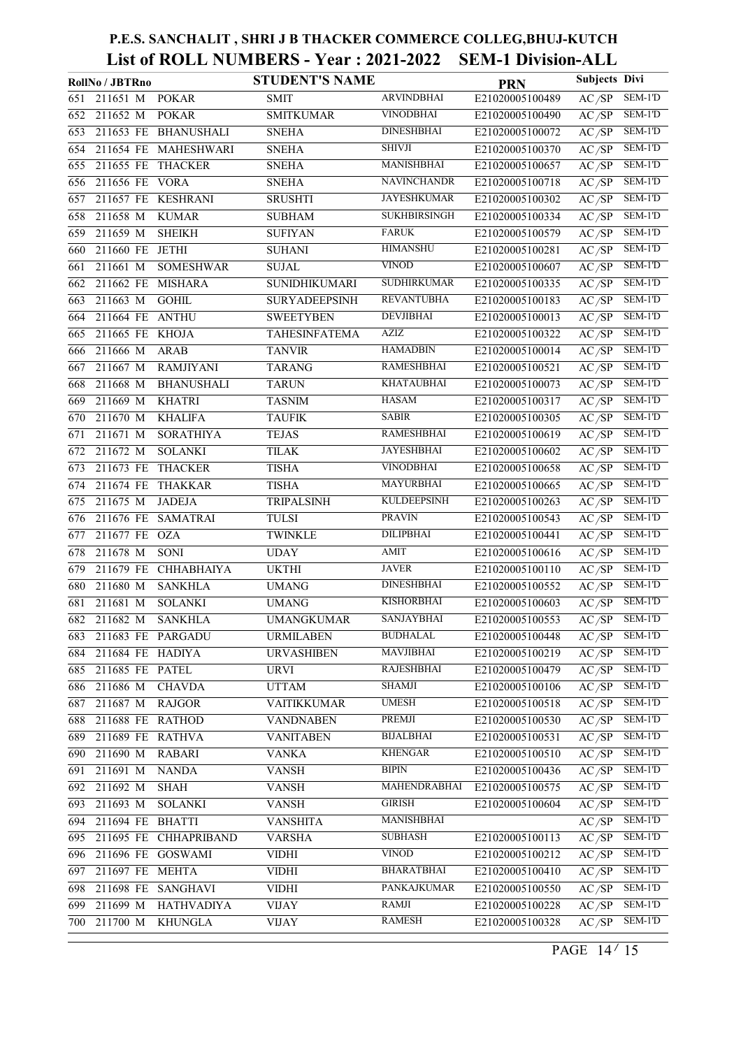|                  | RollNo / JBTRno   |                       | <b>STUDENT'S NAME</b> |                     | <b>PRN</b>      | <b>Subjects Divi</b> |           |
|------------------|-------------------|-----------------------|-----------------------|---------------------|-----------------|----------------------|-----------|
| 651              | 211651 M          | <b>POKAR</b>          | <b>SMIT</b>           | <b>ARVINDBHAI</b>   | E21020005100489 | AC/SP                | SEM-1'D   |
| 652              | 211652 M          | <b>POKAR</b>          | <b>SMITKUMAR</b>      | <b>VINODBHAI</b>    | E21020005100490 | AC/SP                | SEM-1'D   |
| $\overline{653}$ |                   | 211653 FE BHANUSHALI  | <b>SNEHA</b>          | <b>DINESHBHAI</b>   | E21020005100072 | AC/SP                | $SEM-1'D$ |
| 654              |                   | 211654 FE MAHESHWARI  | <b>SNEHA</b>          | <b>SHIVJI</b>       | E21020005100370 | AC/SP                | SEM-1'D   |
| 655              | 211655 FE         | <b>THACKER</b>        | <b>SNEHA</b>          | <b>MANISHBHAI</b>   | E21020005100657 | AC/SP                | SEM-1'D   |
| 656              | 211656 FE         | <b>VORA</b>           | <b>SNEHA</b>          | <b>NAVINCHANDR</b>  | E21020005100718 | $A\overline{C/SP}$   | SEM-1'D   |
| 657              |                   | 211657 FE KESHRANI    | <b>SRUSHTI</b>        | <b>JAYESHKUMAR</b>  | E21020005100302 | AC/SP                | SEM-1'D   |
| 658              | 211658 M          | <b>KUMAR</b>          | <b>SUBHAM</b>         | <b>SUKHBIRSINGH</b> | E21020005100334 | AC/SP                | $SEM-1'D$ |
| 659              | 211659 M          | <b>SHEIKH</b>         | <b>SUFIYAN</b>        | <b>FARUK</b>        | E21020005100579 | AC/SP                | $SEM-1'D$ |
| 660              | 211660 FE         | <b>JETHI</b>          | <b>SUHANI</b>         | <b>HIMANSHU</b>     | E21020005100281 | AC/SP                | SEM-1'D   |
| 661              | 211661 M          | <b>SOMESHWAR</b>      | <b>SUJAL</b>          | <b>VINOD</b>        | E21020005100607 | AC/SP                | $SEM-1'D$ |
| 662              | 211662 FE         | <b>MISHARA</b>        | <b>SUNIDHIKUMARI</b>  | <b>SUDHIRKUMAR</b>  | E21020005100335 | AC/SP                | SEM-1'D   |
| 663              | 211663 M          | <b>GOHIL</b>          | <b>SURYADEEPSINH</b>  | <b>REVANTUBHA</b>   | E21020005100183 | AC/SP                | SEM-1'D   |
| 664              | 211664 FE         | <b>ANTHU</b>          | <b>SWEETYBEN</b>      | <b>DEVJIBHAI</b>    | E21020005100013 | AC/SP                | $SEM-1'D$ |
| 665              | 211665 FE KHOJA   |                       | TAHESINFATEMA         | <b>AZIZ</b>         | E21020005100322 | AC/SP                | SEM-1'D   |
| 666              | 211666 M          | <b>ARAB</b>           | <b>TANVIR</b>         | <b>HAMADBIN</b>     | E21020005100014 | AC/SP                | $SEM-1'D$ |
| 667              | 211667 M          | <b>RAMJIYANI</b>      | <b>TARANG</b>         | <b>RAMESHBHAI</b>   | E21020005100521 | AC/SP                | $SEM-1'D$ |
| 668              | 211668 M          | <b>BHANUSHALI</b>     | <b>TARUN</b>          | <b>KHATAUBHAI</b>   | E21020005100073 | AC/SP                | SEM-1'D   |
| 669              | 211669 M          | <b>KHATRI</b>         | <b>TASNIM</b>         | <b>HASAM</b>        | E21020005100317 | AC/SP                | $SEM-1'D$ |
| 670              | 211670 M          | <b>KHALIFA</b>        | <b>TAUFIK</b>         | <b>SABIR</b>        | E21020005100305 | AC/SP                | SEM-1'D   |
| 671              | 211671 M          | <b>SORATHIYA</b>      | <b>TEJAS</b>          | <b>RAMESHBHAI</b>   | E21020005100619 | AC/SP                | SEM-1'D   |
| 672              | 211672 M          | <b>SOLANKI</b>        | <b>TILAK</b>          | <b>JAYESHBHAI</b>   | E21020005100602 | AC/SP                | SEM-1'D   |
| 673              | 211673 FE         | <b>THACKER</b>        | <b>TISHA</b>          | <b>VINODBHAI</b>    | E21020005100658 | AC/SP                | $SEM-1'D$ |
| 674              | 211674 FE         | <b>THAKKAR</b>        | <b>TISHA</b>          | MAYURBHAI           | E21020005100665 | AC/SP                | $SEM-1'D$ |
| 675              | 211675 M          | <b>JADEJA</b>         | TRIPALSINH            | <b>KULDEEPSINH</b>  | E21020005100263 | AC/SP                | $SEM-1'D$ |
| 676              | 211676 FE         | <b>SAMATRAI</b>       | TULSI                 | <b>PRAVIN</b>       | E21020005100543 | AC/SP                | SEM-1'D   |
| 677              | 211677 FE         | <b>OZA</b>            | <b>TWINKLE</b>        | <b>DILIPBHAI</b>    | E21020005100441 | AC/SP                | SEM-1'D   |
| 678              | 211678 M          | <b>SONI</b>           | <b>UDAY</b>           | <b>AMIT</b>         | E21020005100616 | AC/SP                | SEM-1'D   |
| 679              | 211679 FE         | CHHABHAIYA            | <b>UKTHI</b>          | <b>JAVER</b>        | E21020005100110 | AC/SP                | SEM-1'D   |
| 680              | 211680 M          | <b>SANKHLA</b>        | <b>UMANG</b>          | <b>DINESHBHAI</b>   | E21020005100552 | AC/SP                | SEM-1'D   |
| 681              | 211681 M          | <b>SOLANKI</b>        | <b>UMANG</b>          | <b>KISHORBHAI</b>   | E21020005100603 | AC/SP                | SEM-1'D   |
|                  | 682 211682 M      | <b>SANKHLA</b>        | <b>UMANGKUMAR</b>     | <b>SANJAYBHAI</b>   | E21020005100553 | AC/SP                | SEM-1'D   |
| 683              | 211683 FE PARGADU |                       | <b>URMILABEN</b>      | <b>BUDHALAL</b>     | E21020005100448 | AC/SP                | SEM-1'D   |
| 684              | 211684 FE HADIYA  |                       | <b>URVASHIBEN</b>     | MAVJIBHAI           | E21020005100219 | AC/SP                | SEM-1'D   |
| 685              | 211685 FE PATEL   |                       | <b>URVI</b>           | <b>RAJESHBHAI</b>   | E21020005100479 | AC/SP                | SEM-1'D   |
| 686              | 211686 M          | <b>CHAVDA</b>         | <b>UTTAM</b>          | <b>SHAMJI</b>       | E21020005100106 | AC/SP                | SEM-1'D   |
| 687              | 211687 M          | <b>RAJGOR</b>         | <b>VAITIKKUMAR</b>    | <b>UMESH</b>        | E21020005100518 | AC/SP                | SEM-1'D   |
| 688              | 211688 FE         | <b>RATHOD</b>         | <b>VANDNABEN</b>      | PREMJI              | E21020005100530 | AC/SP                | SEM-1'D   |
| 689              | 211689 FE RATHVA  |                       | <b>VANITABEN</b>      | <b>BIJALBHAI</b>    | E21020005100531 | AC/SP                | SEM-1'D   |
| 690              | 211690 M          | <b>RABARI</b>         | <b>VANKA</b>          | <b>KHENGAR</b>      | E21020005100510 | AC/SP                | SEM-1'D   |
| 691              | 211691 M          | <b>NANDA</b>          | <b>VANSH</b>          | <b>BIPIN</b>        | E21020005100436 | AC/SP                | SEM-1'D   |
| 692              | 211692 M          | <b>SHAH</b>           | <b>VANSH</b>          | MAHENDRABHAI        | E21020005100575 | AC/SP                | SEM-1'D   |
| 693              | 211693 M          | <b>SOLANKI</b>        | <b>VANSH</b>          | <b>GIRISH</b>       | E21020005100604 | AC/SP                | SEM-1'D   |
| 694              | 211694 FE BHATTI  |                       | <b>VANSHITA</b>       | <b>MANISHBHAI</b>   |                 | AC/SP                | SEM-1'D   |
| 695              |                   | 211695 FE CHHAPRIBAND | <b>VARSHA</b>         | <b>SUBHASH</b>      | E21020005100113 | AC/SP                | SEM-1'D   |
| 696              | 211696 FE GOSWAMI |                       | <b>VIDHI</b>          | <b>VINOD</b>        | E21020005100212 | AC/SP                | SEM-1'D   |
| 697              | 211697 FE MEHTA   |                       | <b>VIDHI</b>          | <b>BHARATBHAI</b>   | E21020005100410 | AC/SP                | SEM-1'D   |
| 698              | 211698 FE         | <b>SANGHAVI</b>       | <b>VIDHI</b>          | PANKAJKUMAR         | E21020005100550 | AC/SP                | SEM-1'D   |
| 699              | 211699 M          | <b>HATHVADIYA</b>     | <b>VIJAY</b>          | <b>RAMJI</b>        | E21020005100228 | AC/SP                | SEM-1'D   |
| 700              | 211700 M          | <b>KHUNGLA</b>        | <b>VIJAY</b>          | <b>RAMESH</b>       | E21020005100328 | AC/SP                | SEM-1'D   |
|                  |                   |                       |                       |                     |                 |                      |           |

PAGE 14/15